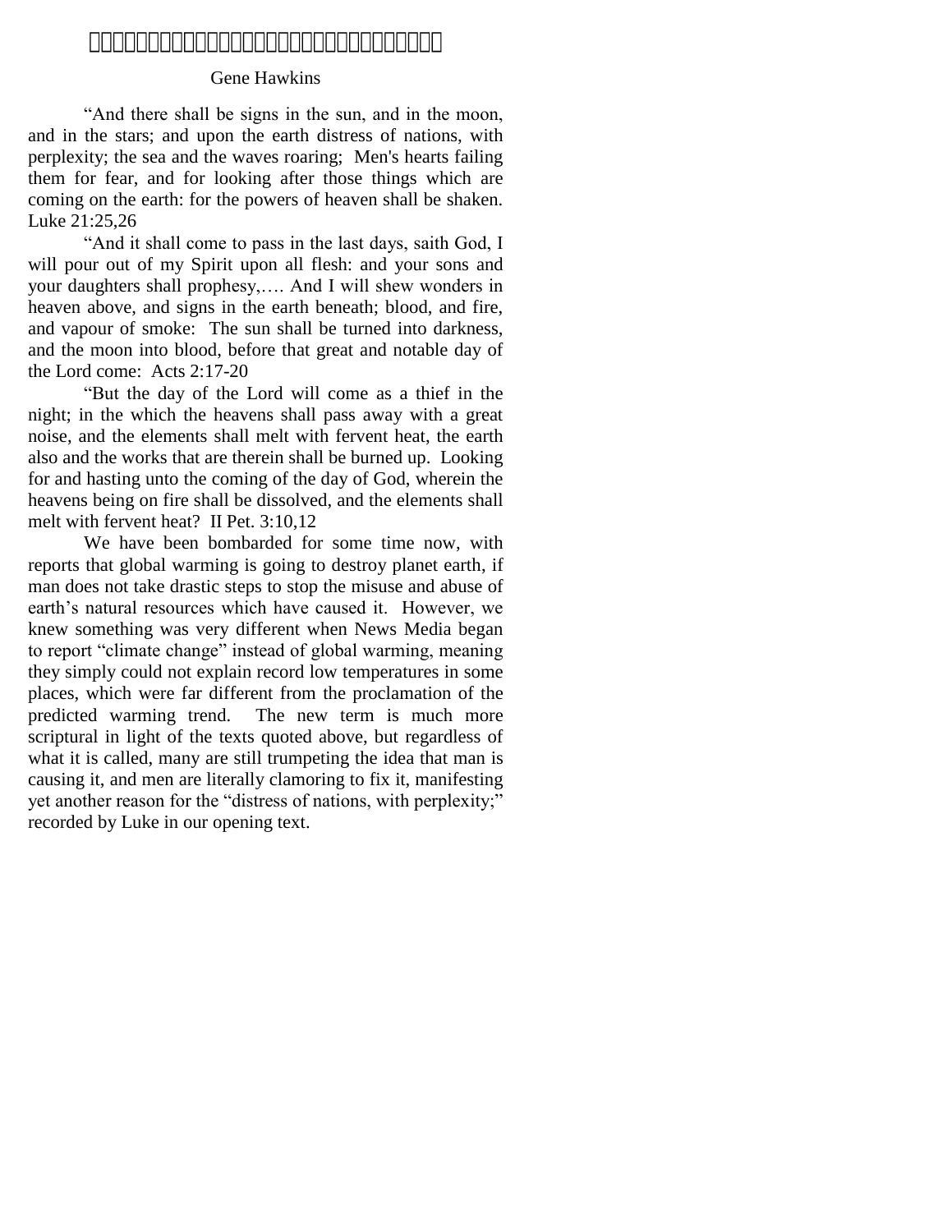# 

# Gene Hawkins

"And there shall be signs in the sun, and in the moon, and in the stars; and upon the earth distress of nations, with perplexity; the sea and the waves roaring; Men's hearts failing them for fear, and for looking after those things which are coming on the earth: for the powers of heaven shall be shaken. Luke 21:25,26

"And it shall come to pass in the last days, saith God, I will pour out of my Spirit upon all flesh: and your sons and your daughters shall prophesy,…. And I will shew wonders in heaven above, and signs in the earth beneath; blood, and fire, and vapour of smoke: The sun shall be turned into darkness, and the moon into blood, before that great and notable day of the Lord come: Acts 2:17-20

―But the day of the Lord will come as a thief in the night; in the which the heavens shall pass away with a great noise, and the elements shall melt with fervent heat, the earth also and the works that are therein shall be burned up. Looking for and hasting unto the coming of the day of God, wherein the heavens being on fire shall be dissolved, and the elements shall melt with fervent heat? II Pet. 3:10,12

We have been bombarded for some time now, with reports that global warming is going to destroy planet earth, if man does not take drastic steps to stop the misuse and abuse of earth's natural resources which have caused it. However, we knew something was very different when News Media began to report "climate change" instead of global warming, meaning they simply could not explain record low temperatures in some places, which were far different from the proclamation of the predicted warming trend. The new term is much more scriptural in light of the texts quoted above, but regardless of what it is called, many are still trumpeting the idea that man is causing it, and men are literally clamoring to fix it, manifesting yet another reason for the "distress of nations, with perplexity;" recorded by Luke in our opening text.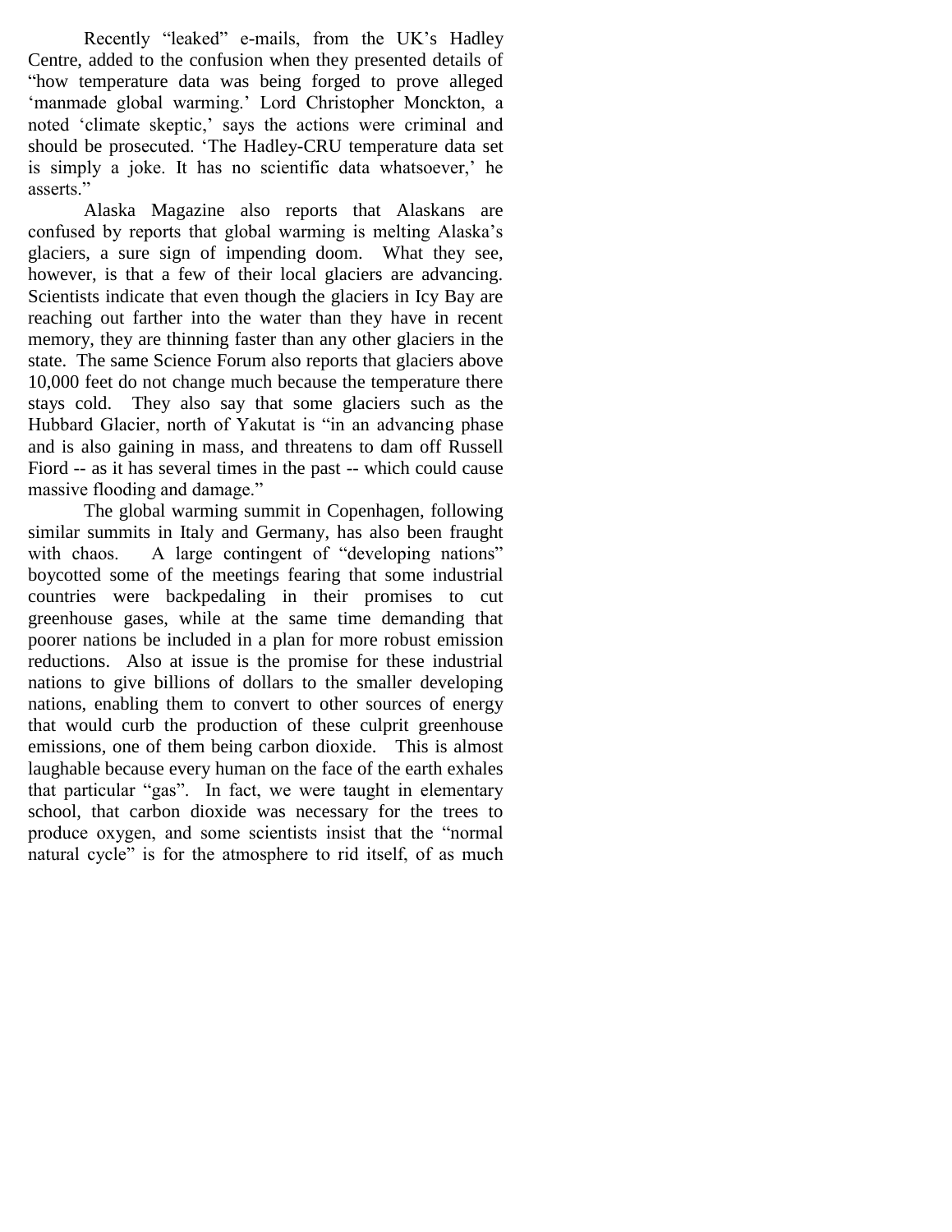Recently "leaked" e-mails, from the UK's Hadley Centre, added to the confusion when they presented details of ―how temperature data was being forged to prove alleged ‗manmade global warming.' Lord Christopher Monckton, a noted 'climate skeptic,' says the actions were criminal and should be prosecuted. 'The Hadley-CRU temperature data set is simply a joke. It has no scientific data whatsoever,' he asserts<sup>"</sup>

Alaska Magazine also reports that Alaskans are confused by reports that global warming is melting Alaska's glaciers, a sure sign of impending doom. What they see, however, is that a few of their local glaciers are advancing. Scientists indicate that even though the glaciers in Icy Bay are reaching out farther into the water than they have in recent memory, they are thinning faster than any other glaciers in the state. The same Science Forum also reports that glaciers above 10,000 feet do not change much because the temperature there stays cold. They also say that some glaciers such as the Hubbard Glacier, north of Yakutat is "in an advancing phase and is also gaining in mass, and threatens to dam off Russell Fiord -- as it has several times in the past -- which could cause massive flooding and damage."

The global warming summit in Copenhagen, following similar summits in Italy and Germany, has also been fraught with chaos. A large contingent of "developing nations" boycotted some of the meetings fearing that some industrial countries were backpedaling in their promises to cut greenhouse gases, while at the same time demanding that poorer nations be included in a plan for more robust emission reductions. Also at issue is the promise for these industrial nations to give billions of dollars to the smaller developing nations, enabling them to convert to other sources of energy that would curb the production of these culprit greenhouse emissions, one of them being carbon dioxide. This is almost laughable because every human on the face of the earth exhales that particular "gas". In fact, we were taught in elementary school, that carbon dioxide was necessary for the trees to produce oxygen, and some scientists insist that the "normal" natural cycle" is for the atmosphere to rid itself, of as much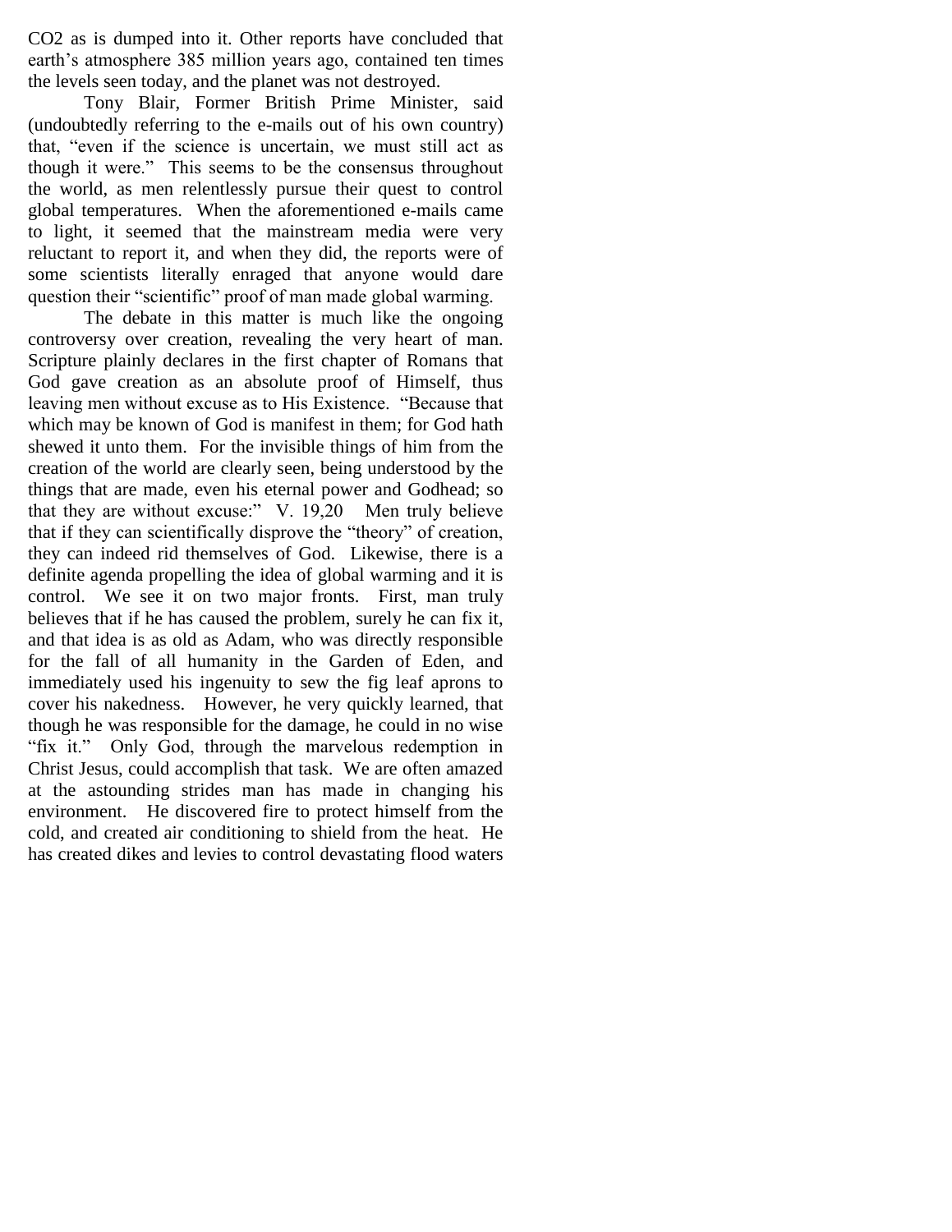CO2 as is dumped into it. Other reports have concluded that earth's atmosphere 385 million years ago, contained ten times the levels seen today, and the planet was not destroyed.

Tony Blair, Former British Prime Minister, said (undoubtedly referring to the e-mails out of his own country) that, "even if the science is uncertain, we must still act as though it were." This seems to be the consensus throughout the world, as men relentlessly pursue their quest to control global temperatures. When the aforementioned e-mails came to light, it seemed that the mainstream media were very reluctant to report it, and when they did, the reports were of some scientists literally enraged that anyone would dare question their "scientific" proof of man made global warming.

The debate in this matter is much like the ongoing controversy over creation, revealing the very heart of man. Scripture plainly declares in the first chapter of Romans that God gave creation as an absolute proof of Himself, thus leaving men without excuse as to His Existence. "Because that which may be known of God is manifest in them; for God hath shewed it unto them. For the invisible things of him from the creation of the world are clearly seen, being understood by the things that are made, even his eternal power and Godhead; so that they are without excuse:"  $V. 19,20$  Men truly believe that if they can scientifically disprove the "theory" of creation, they can indeed rid themselves of God. Likewise, there is a definite agenda propelling the idea of global warming and it is control. We see it on two major fronts. First, man truly believes that if he has caused the problem, surely he can fix it, and that idea is as old as Adam, who was directly responsible for the fall of all humanity in the Garden of Eden, and immediately used his ingenuity to sew the fig leaf aprons to cover his nakedness. However, he very quickly learned, that though he was responsible for the damage, he could in no wise "fix it." Only God, through the marvelous redemption in Christ Jesus, could accomplish that task. We are often amazed at the astounding strides man has made in changing his environment. He discovered fire to protect himself from the cold, and created air conditioning to shield from the heat. He has created dikes and levies to control devastating flood waters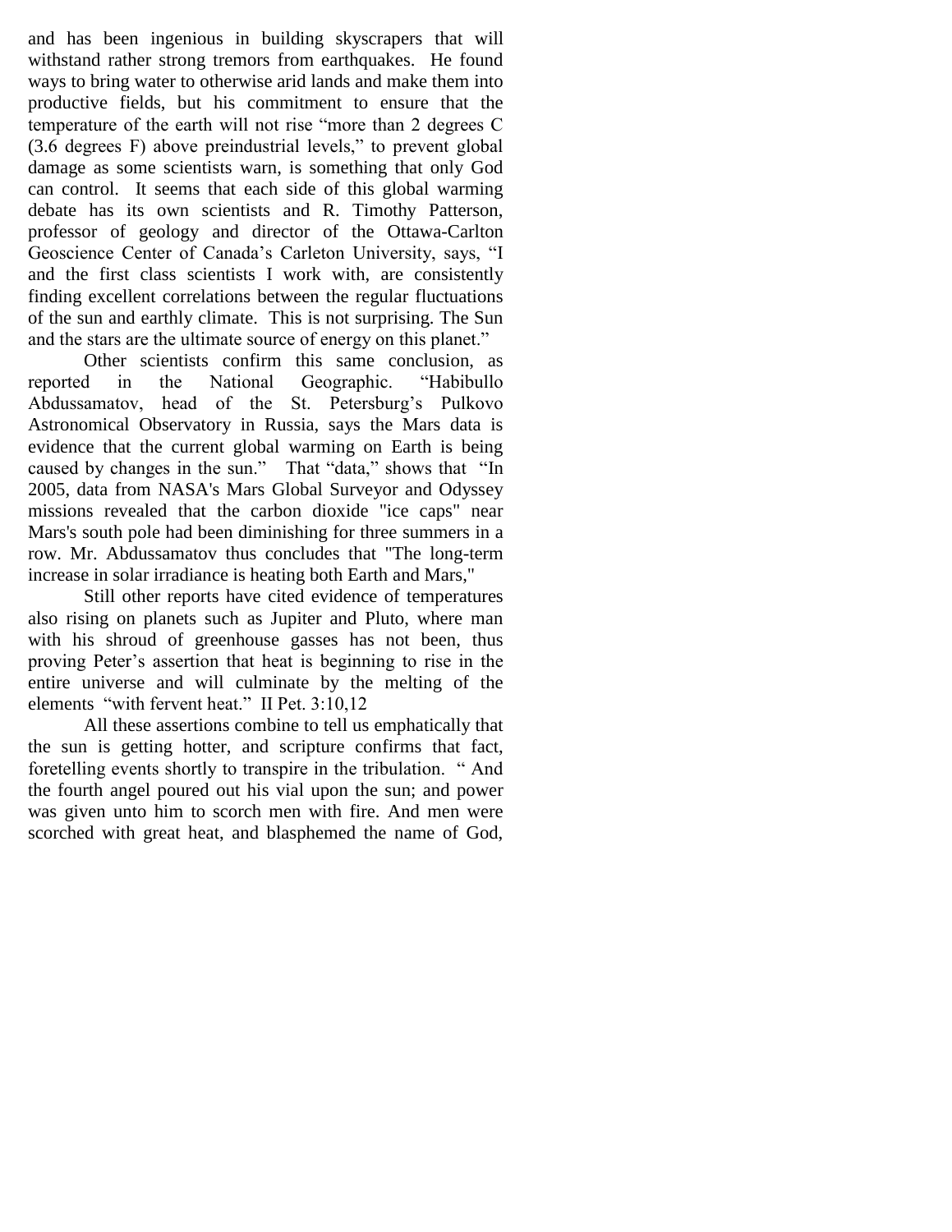and has been ingenious in building skyscrapers that will withstand rather strong tremors from earthquakes. He found ways to bring water to otherwise arid lands and make them into productive fields, but his commitment to ensure that the temperature of the earth will not rise "more than 2 degrees C  $(3.6$  degrees F) above preindustrial levels," to prevent global damage as some scientists warn, is something that only God can control. It seems that each side of this global warming debate has its own scientists and R. Timothy Patterson, professor of geology and director of the Ottawa-Carlton Geoscience Center of Canada's Carleton University, says, "I and the first class scientists I work with, are consistently finding excellent correlations between the regular fluctuations of the sun and earthly climate. This is not surprising. The Sun and the stars are the ultimate source of energy on this planet."

Other scientists confirm this same conclusion, as reported in the National Geographic. "Habibullo Abdussamatov, head of the St. Petersburg's Pulkovo Astronomical Observatory in Russia, says the Mars data is evidence that the current global warming on Earth is being caused by changes in the sun." That "data," shows that "In 2005, data from NASA's Mars Global Surveyor and Odyssey missions revealed that the carbon dioxide "ice caps" near Mars's south pole had been diminishing for three summers in a row. Mr. Abdussamatov thus concludes that "The long-term increase in solar irradiance is heating both Earth and Mars,"

Still other reports have cited evidence of temperatures also rising on planets such as Jupiter and Pluto, where man with his shroud of greenhouse gasses has not been, thus proving Peter's assertion that heat is beginning to rise in the entire universe and will culminate by the melting of the elements "with fervent heat." II Pet. 3:10,12

All these assertions combine to tell us emphatically that the sun is getting hotter, and scripture confirms that fact, foretelling events shortly to transpire in the tribulation. "And the fourth angel poured out his vial upon the sun; and power was given unto him to scorch men with fire. And men were scorched with great heat, and blasphemed the name of God,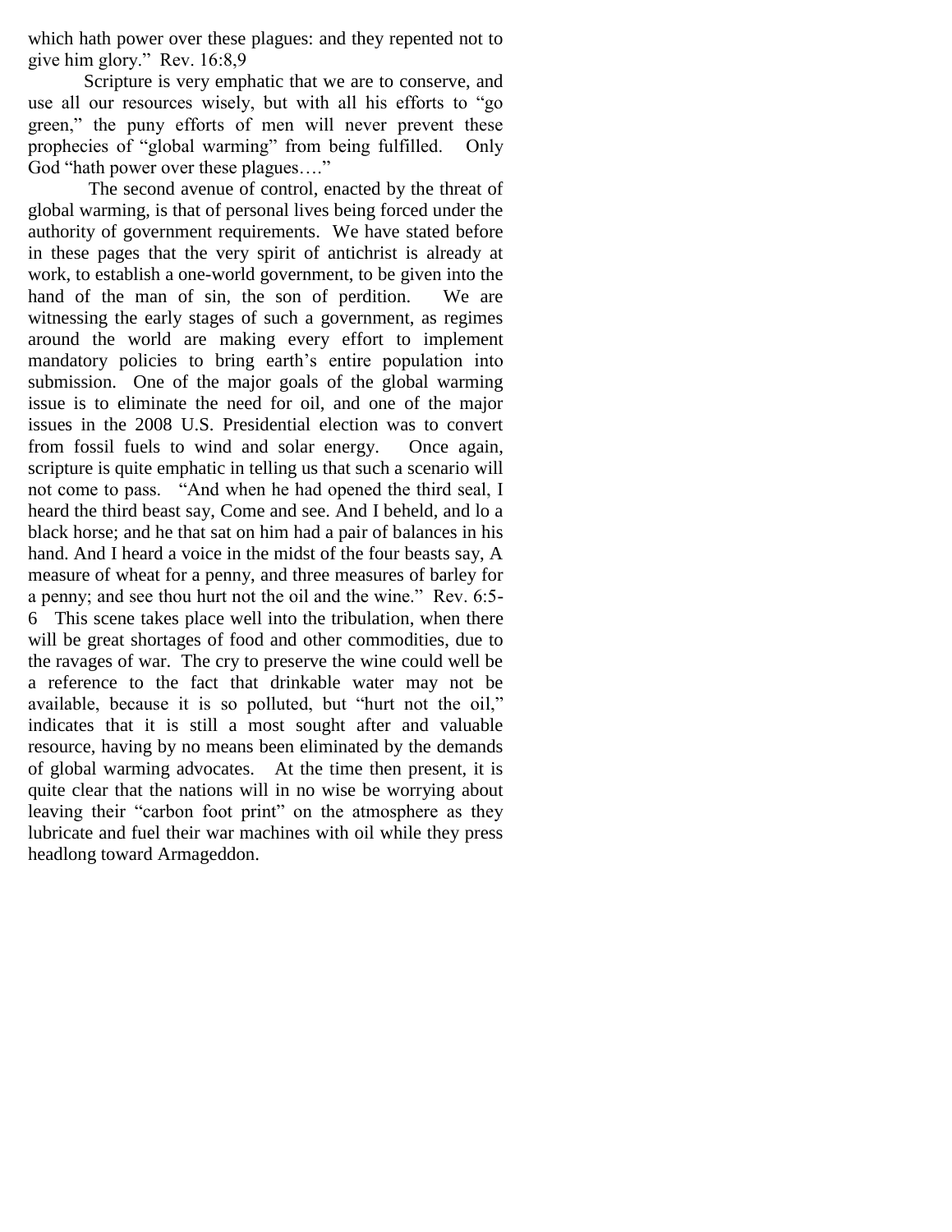which hath power over these plagues: and they repented not to give him glory." Rev. 16:8,9

Scripture is very emphatic that we are to conserve, and use all our resources wisely, but with all his efforts to "go green," the puny efforts of men will never prevent these prophecies of "global warming" from being fulfilled. Only God "hath power over these plagues...."

The second avenue of control, enacted by the threat of global warming, is that of personal lives being forced under the authority of government requirements. We have stated before in these pages that the very spirit of antichrist is already at work, to establish a one-world government, to be given into the hand of the man of sin, the son of perdition. We are witnessing the early stages of such a government, as regimes around the world are making every effort to implement mandatory policies to bring earth's entire population into submission. One of the major goals of the global warming issue is to eliminate the need for oil, and one of the major issues in the 2008 U.S. Presidential election was to convert from fossil fuels to wind and solar energy. Once again, scripture is quite emphatic in telling us that such a scenario will not come to pass. "And when he had opened the third seal, I heard the third beast say, Come and see. And I beheld, and lo a black horse; and he that sat on him had a pair of balances in his hand. And I heard a voice in the midst of the four beasts say, A measure of wheat for a penny, and three measures of barley for a penny; and see thou hurt not the oil and the wine." Rev. 6:5-6 This scene takes place well into the tribulation, when there will be great shortages of food and other commodities, due to the ravages of war. The cry to preserve the wine could well be a reference to the fact that drinkable water may not be available, because it is so polluted, but "hurt not the oil," indicates that it is still a most sought after and valuable resource, having by no means been eliminated by the demands of global warming advocates. At the time then present, it is quite clear that the nations will in no wise be worrying about leaving their "carbon foot print" on the atmosphere as they lubricate and fuel their war machines with oil while they press headlong toward Armageddon.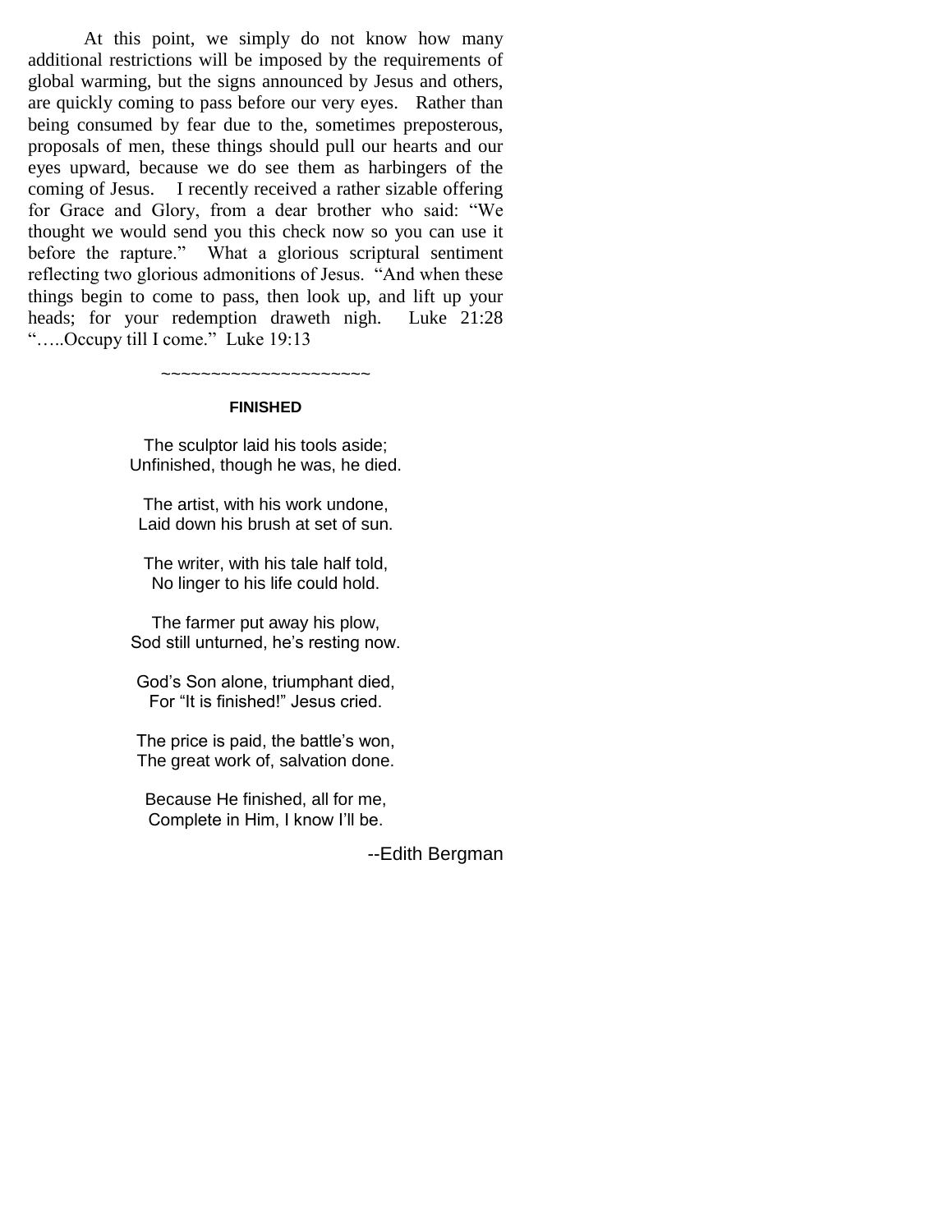At this point, we simply do not know how many additional restrictions will be imposed by the requirements of global warming, but the signs announced by Jesus and others, are quickly coming to pass before our very eyes. Rather than being consumed by fear due to the, sometimes preposterous, proposals of men, these things should pull our hearts and our eyes upward, because we do see them as harbingers of the coming of Jesus. I recently received a rather sizable offering for Grace and Glory, from a dear brother who said: "We thought we would send you this check now so you can use it before the rapture." What a glorious scriptural sentiment reflecting two glorious admonitions of Jesus. "And when these things begin to come to pass, then look up, and lift up your heads; for your redemption draweth nigh. Luke 21:28 ".....Occupy till I come." Luke 19:13

~~~~~~~~~~~~~~~~~~~~~

#### **FINISHED**

The sculptor laid his tools aside; Unfinished, though he was, he died.

The artist, with his work undone, Laid down his brush at set of sun.

The writer, with his tale half told, No linger to his life could hold.

The farmer put away his plow, Sod still unturned, he's resting now.

God's Son alone, triumphant died, For "It is finished!" Jesus cried.

The price is paid, the battle's won, The great work of, salvation done.

Because He finished, all for me, Complete in Him, I know I'll be.

--Edith Bergman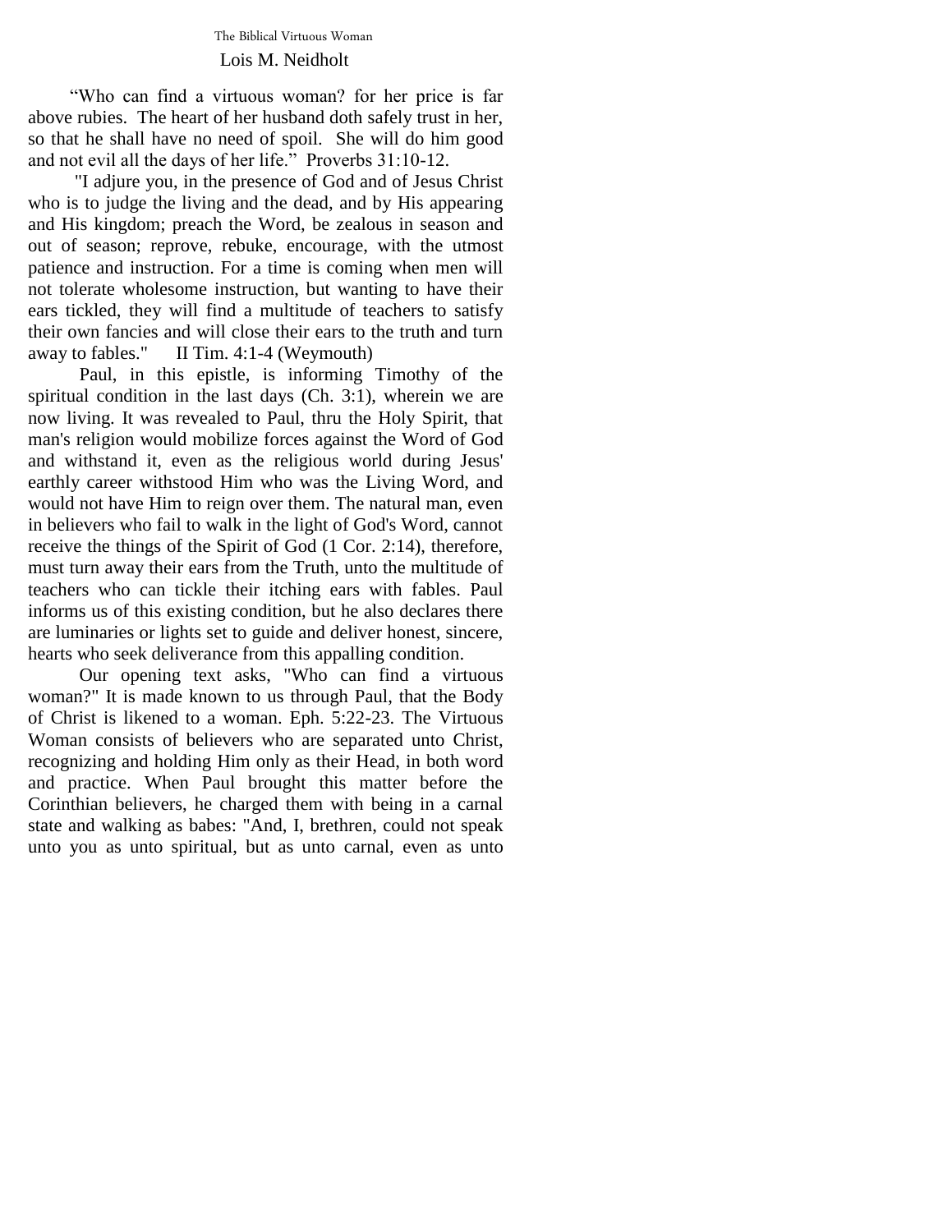The Biblical Virtuous Woman Lois M. Neidholt

 ―Who can find a virtuous woman? for her price is far above rubies. The heart of her husband doth safely trust in her, so that he shall have no need of spoil. She will do him good and not evil all the days of her life." Proverbs 31:10-12.

 "I adjure you, in the presence of God and of Jesus Christ who is to judge the living and the dead, and by His appearing and His kingdom; preach the Word, be zealous in season and out of season; reprove, rebuke, encourage, with the utmost patience and instruction. For a time is coming when men will not tolerate wholesome instruction, but wanting to have their ears tickled, they will find a multitude of teachers to satisfy their own fancies and will close their ears to the truth and turn away to fables." II Tim. 4:1-4 (Weymouth)

 Paul, in this epistle, is informing Timothy of the spiritual condition in the last days (Ch. 3:1), wherein we are now living. It was revealed to Paul, thru the Holy Spirit, that man's religion would mobilize forces against the Word of God and withstand it, even as the religious world during Jesus' earthly career withstood Him who was the Living Word, and would not have Him to reign over them. The natural man, even in believers who fail to walk in the light of God's Word, cannot receive the things of the Spirit of God (1 Cor. 2:14), therefore, must turn away their ears from the Truth, unto the multitude of teachers who can tickle their itching ears with fables. Paul informs us of this existing condition, but he also declares there are luminaries or lights set to guide and deliver honest, sincere, hearts who seek deliverance from this appalling condition.

 Our opening text asks, "Who can find a virtuous woman?" It is made known to us through Paul, that the Body of Christ is likened to a woman. Eph. 5:22-23. The Virtuous Woman consists of believers who are separated unto Christ, recognizing and holding Him only as their Head, in both word and practice. When Paul brought this matter before the Corinthian believers, he charged them with being in a carnal state and walking as babes: "And, I, brethren, could not speak unto you as unto spiritual, but as unto carnal, even as unto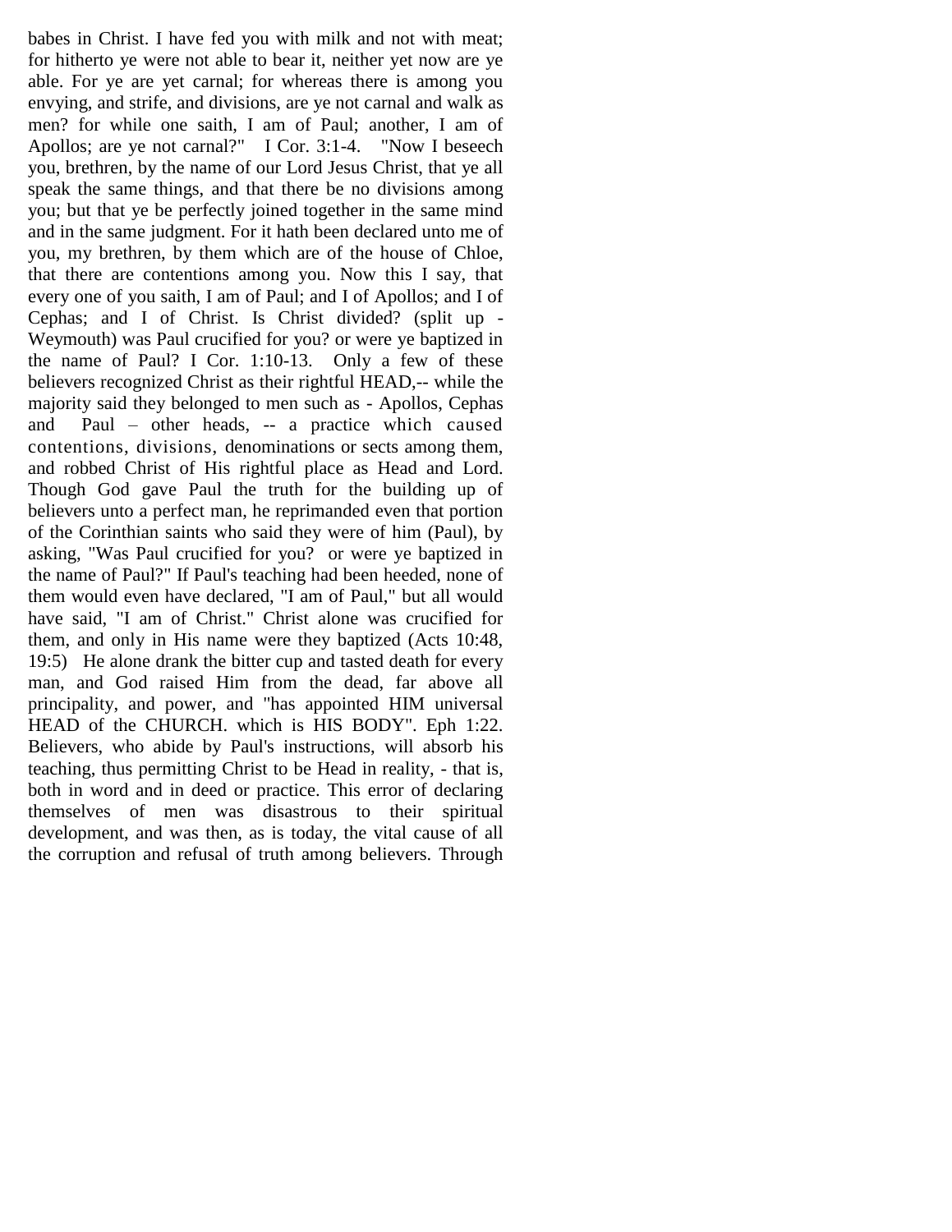babes in Christ. I have fed you with milk and not with meat; for hitherto ye were not able to bear it, neither yet now are ye able. For ye are yet carnal; for whereas there is among you envying, and strife, and divisions, are ye not carnal and walk as men? for while one saith, I am of Paul; another, I am of Apollos; are ye not carnal?" I Cor. 3:1-4. "Now I beseech you, brethren, by the name of our Lord Jesus Christ, that ye all speak the same things, and that there be no divisions among you; but that ye be perfectly joined together in the same mind and in the same judgment. For it hath been declared unto me of you, my brethren, by them which are of the house of Chloe, that there are contentions among you. Now this I say, that every one of you saith, I am of Paul; and I of Apollos; and I of Cephas; and I of Christ. Is Christ divided? (split up - Weymouth) was Paul crucified for you? or were ye baptized in the name of Paul? I Cor. 1:10-13. Only a few of these believers recognized Christ as their rightful HEAD,-- while the majority said they belonged to men such as - Apollos, Cephas and Paul – other heads, -- a practice which caused contentions, divisions, denominations or sects among them, and robbed Christ of His rightful place as Head and Lord. Though God gave Paul the truth for the building up of believers unto a perfect man, he reprimanded even that portion of the Corinthian saints who said they were of him (Paul), by asking, "Was Paul crucified for you? or were ye baptized in the name of Paul?" If Paul's teaching had been heeded, none of them would even have declared, "I am of Paul," but all would have said, "I am of Christ." Christ alone was crucified for them, and only in His name were they baptized (Acts 10:48, 19:5) He alone drank the bitter cup and tasted death for every man, and God raised Him from the dead, far above all principality, and power, and "has appointed HIM universal HEAD of the CHURCH, which is HIS BODY". Eph 1:22. Believers, who abide by Paul's instructions, will absorb his teaching, thus permitting Christ to be Head in reality, - that is, both in word and in deed or practice. This error of declaring themselves of men was disastrous to their spiritual development, and was then, as is today, the vital cause of all the corruption and refusal of truth among believers. Through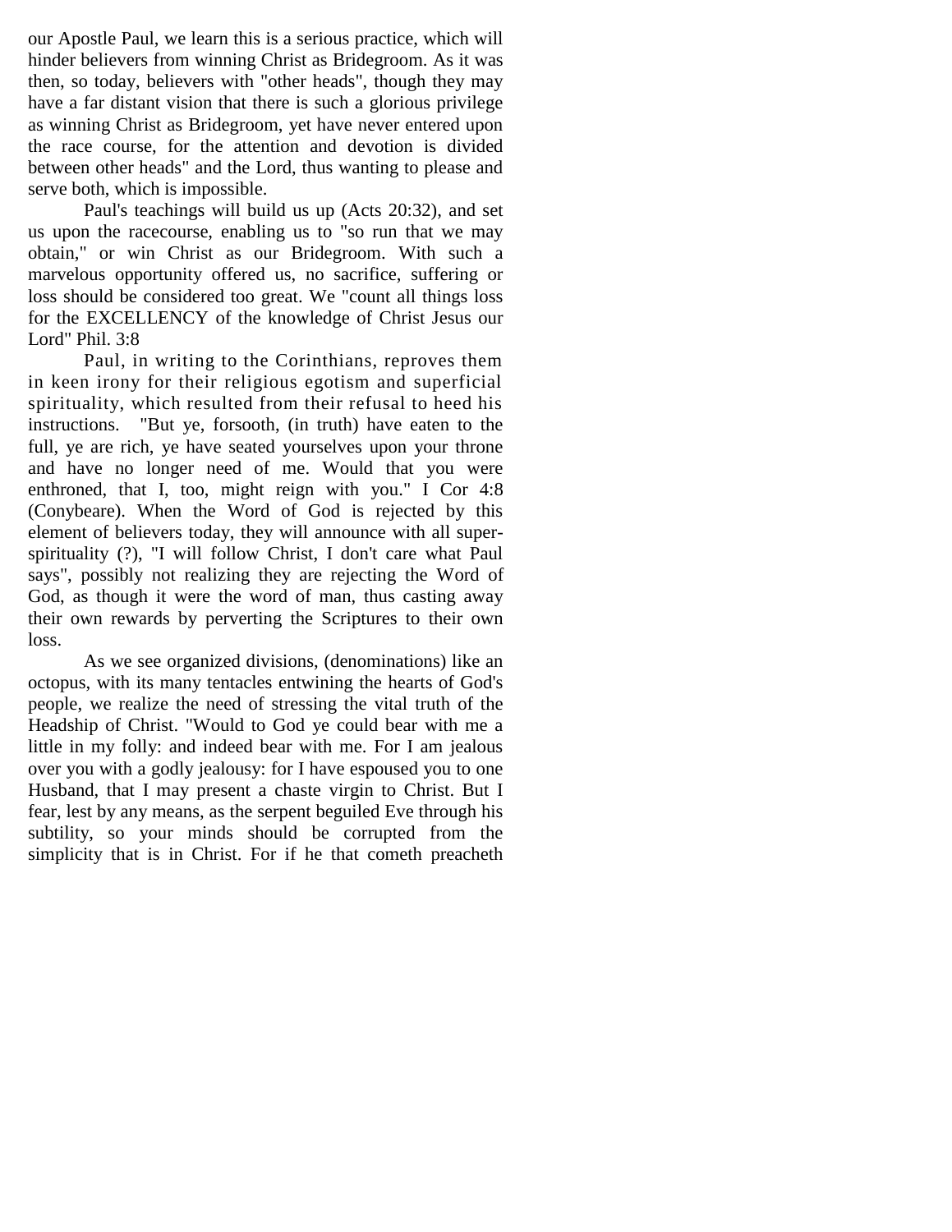our Apostle Paul, we learn this is a serious practice, which will hinder believers from winning Christ as Bridegroom. As it was then, so today, believers with "other heads", though they may have a far distant vision that there is such a glorious privilege as winning Christ as Bridegroom, yet have never entered upon the race course, for the attention and devotion is divided between other heads" and the Lord, thus wanting to please and serve both, which is impossible.

Paul's teachings will build us up (Acts 20:32), and set us upon the racecourse, enabling us to "so run that we may obtain," or win Christ as our Bridegroom. With such a marvelous opportunity offered us, no sacrifice, suffering or loss should be considered too great. We "count all things loss for the EXCELLENCY of the knowledge of Christ Jesus our Lord" Phil. 3:8

Paul, in writing to the Corinthians, reproves them in keen irony for their religious egotism and superficial spirituality, which resulted from their refusal to heed his instructions. "But ye, forsooth, (in truth) have eaten to the full, ye are rich, ye have seated yourselves upon your throne and have no longer need of me. Would that you were enthroned, that I, too, might reign with you." I Cor 4:8 (Conybeare). When the Word of God is rejected by this element of believers today, they will announce with all superspirituality (?), "I will follow Christ, I don't care what Paul says", possibly not realizing they are rejecting the Word of God, as though it were the word of man, thus casting away their own rewards by perverting the Scriptures to their own loss.

As we see organized divisions, (denominations) like an octopus, with its many tentacles entwining the hearts of God's people, we realize the need of stressing the vital truth of the Headship of Christ. "Would to God ye could bear with me a little in my folly: and indeed bear with me. For I am jealous over you with a godly jealousy: for I have espoused you to one Husband, that I may present a chaste virgin to Christ. But I fear, lest by any means, as the serpent beguiled Eve through his subtility, so your minds should be corrupted from the simplicity that is in Christ. For if he that cometh preacheth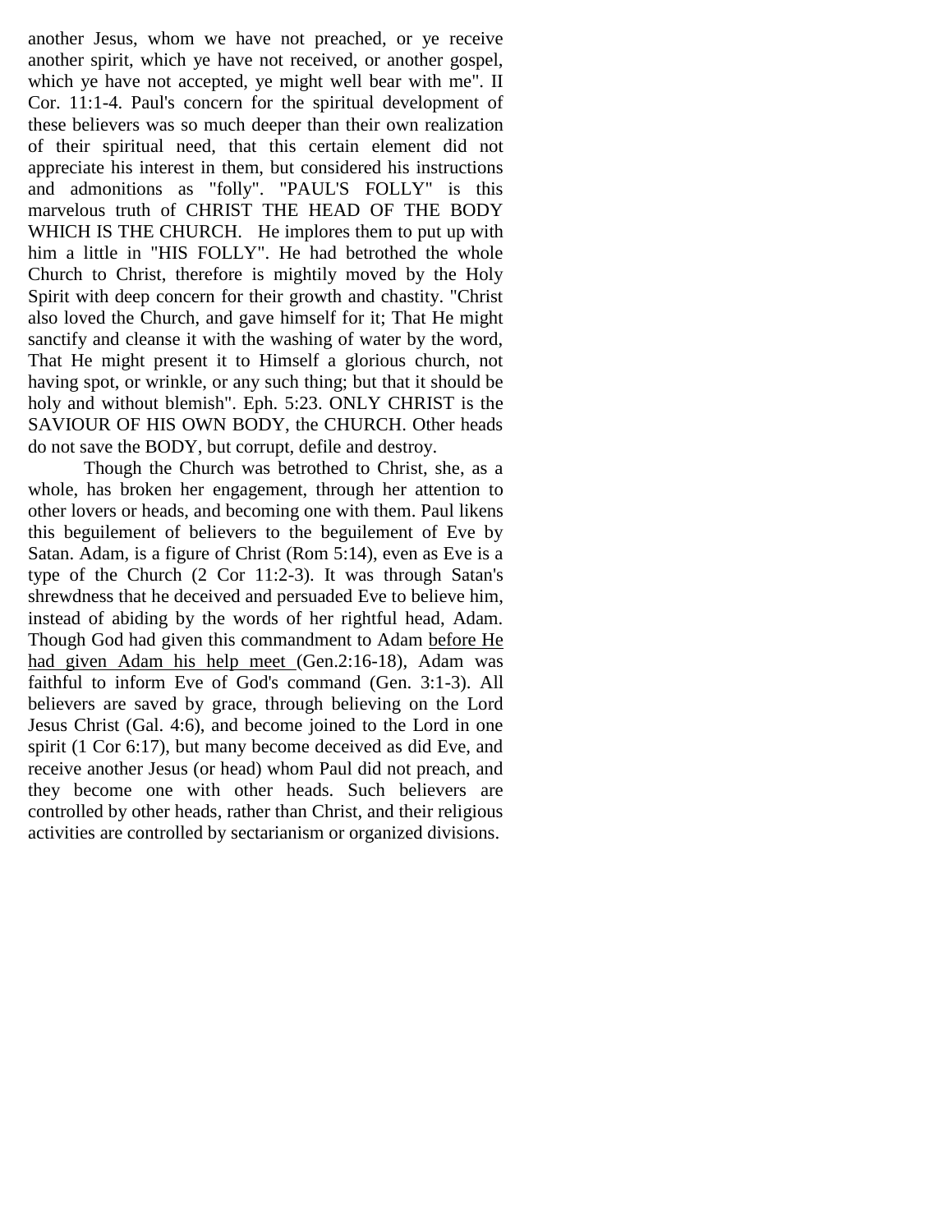another Jesus, whom we have not preached, or ye receive another spirit, which ye have not received, or another gospel, which ye have not accepted, ye might well bear with me". II Cor. 11:1-4. Paul's concern for the spiritual development of these believers was so much deeper than their own realization of their spiritual need, that this certain element did not appreciate his interest in them, but considered his instructions and admonitions as "folly". "PAUL'S FOLLY" is this marvelous truth of CHRIST THE HEAD OF THE BODY WHICH IS THE CHURCH. He implores them to put up with him a little in "HIS FOLLY". He had betrothed the whole Church to Christ, therefore is mightily moved by the Holy Spirit with deep concern for their growth and chastity. "Christ also loved the Church, and gave himself for it; That He might sanctify and cleanse it with the washing of water by the word, That He might present it to Himself a glorious church, not having spot, or wrinkle, or any such thing; but that it should be holy and without blemish". Eph. 5:23. ONLY CHRIST is the SAVIOUR OF HIS OWN BODY, the CHURCH. Other heads do not save the BODY, but corrupt, defile and destroy.

Though the Church was betrothed to Christ, she, as a whole, has broken her engagement, through her attention to other lovers or heads, and becoming one with them. Paul likens this beguilement of believers to the beguilement of Eve by Satan. Adam, is a figure of Christ (Rom 5:14), even as Eve is a type of the Church (2 Cor 11:2-3). It was through Satan's shrewdness that he deceived and persuaded Eve to believe him, instead of abiding by the words of her rightful head, Adam. Though God had given this commandment to Adam before He had given Adam his help meet (Gen.2:16-18), Adam was faithful to inform Eve of God's command (Gen. 3:1-3). All believers are saved by grace, through believing on the Lord Jesus Christ (Gal. 4:6), and become joined to the Lord in one spirit (1 Cor 6:17), but many become deceived as did Eve, and receive another Jesus (or head) whom Paul did not preach, and they become one with other heads. Such believers are controlled by other heads, rather than Christ, and their religious activities are controlled by sectarianism or organized divisions.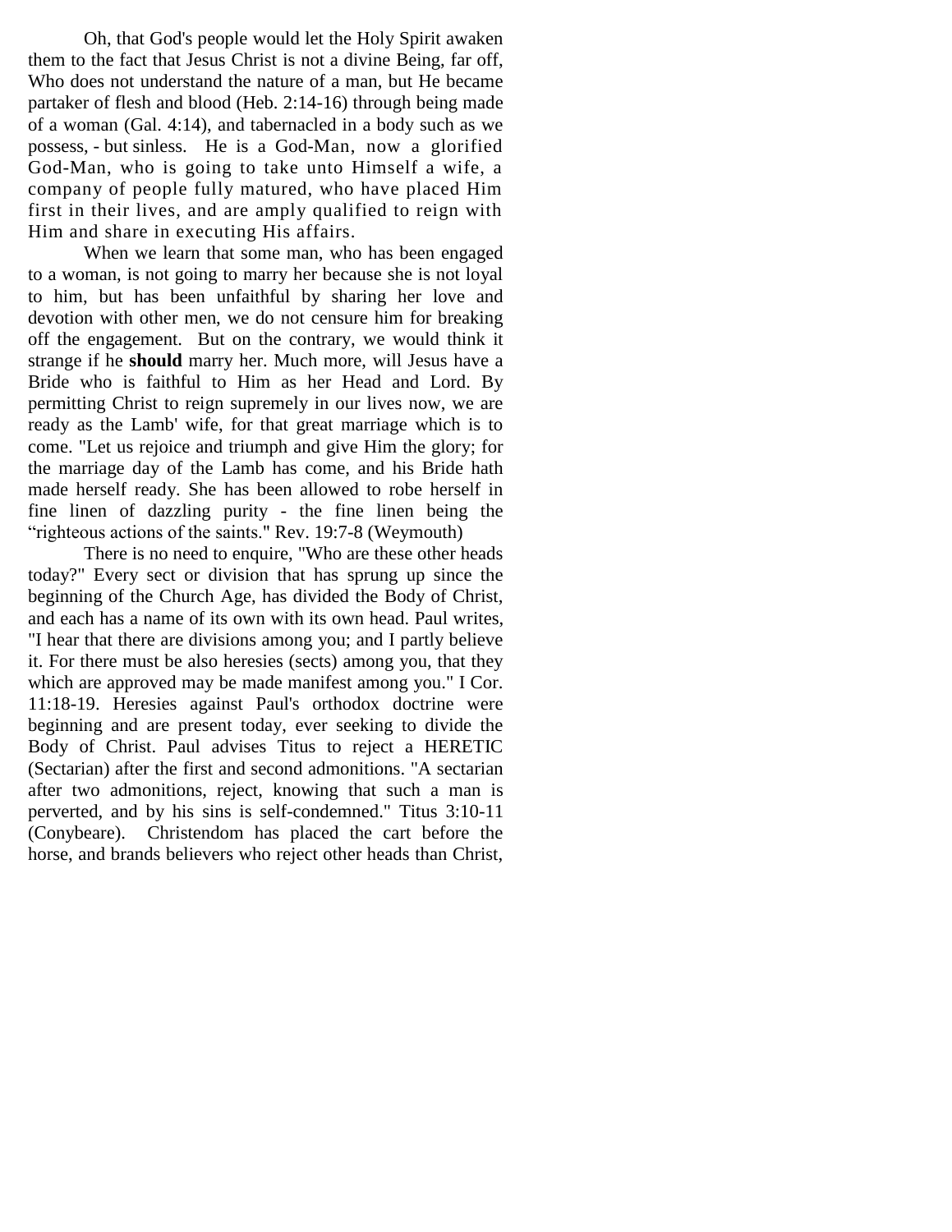Oh, that God's people would let the Holy Spirit awaken them to the fact that Jesus Christ is not a divine Being, far off, Who does not understand the nature of a man, but He became partaker of flesh and blood (Heb. 2:14-16) through being made of a woman (Gal. 4:14), and tabernacled in a body such as we possess, - but sinless. He is a God-Man, now a glorified God-Man, who is going to take unto Himself a wife, a company of people fully matured, who have placed Him first in their lives, and are amply qualified to reign with Him and share in executing His affairs.

When we learn that some man, who has been engaged to a woman, is not going to marry her because she is not loyal to him, but has been unfaithful by sharing her love and devotion with other men, we do not censure him for breaking off the engagement. But on the contrary, we would think it strange if he **should** marry her. Much more, will Jesus have a Bride who is faithful to Him as her Head and Lord. By permitting Christ to reign supremely in our lives now, we are ready as the Lamb' wife, for that great marriage which is to come. "Let us rejoice and triumph and give Him the glory; for the marriage day of the Lamb has come, and his Bride hath made herself ready. She has been allowed to robe herself in fine linen of dazzling purity - the fine linen being the "righteous actions of the saints." Rev. 19:7-8 (Weymouth)

There is no need to enquire, "Who are these other heads today?" Every sect or division that has sprung up since the beginning of the Church Age, has divided the Body of Christ, and each has a name of its own with its own head. Paul writes, "I hear that there are divisions among you; and I partly believe it. For there must be also heresies (sects) among you, that they which are approved may be made manifest among you." I Cor. 11:18-19. Heresies against Paul's orthodox doctrine were beginning and are present today, ever seeking to divide the Body of Christ. Paul advises Titus to reject a HERETIC (Sectarian) after the first and second admonitions. "A sectarian after two admonitions, reject, knowing that such a man is perverted, and by his sins is self-condemned." Titus 3:10-11 (Conybeare). Christendom has placed the cart before the horse, and brands believers who reject other heads than Christ,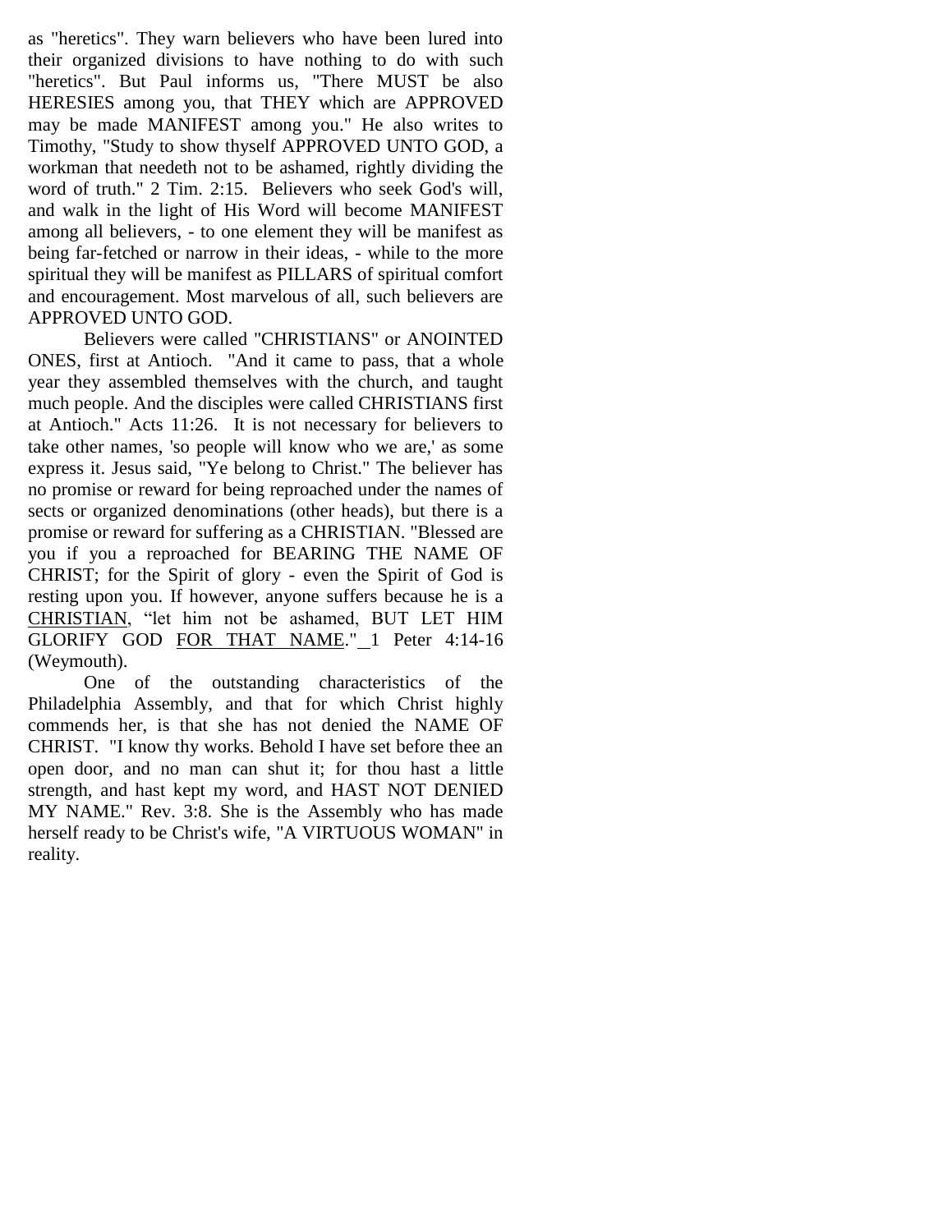as "heretics". They warn believers who have been lured into their organized divisions to have nothing to do with such "heretics". But Paul informs us, "There MUST be also HERESIES among you, that THEY which are APPROVED may be made MANIFEST among you." He also writes to Timothy, "Study to show thyself APPROVED UNTO GOD, a workman that needeth not to be ashamed, rightly dividing the word of truth." 2 Tim. 2:15. Believers who seek God's will, and walk in the light of His Word will become MANIFEST among all believers, - to one element they will be manifest as being far-fetched or narrow in their ideas, - while to the more spiritual they will be manifest as PILLARS of spiritual comfort and encouragement. Most marvelous of all, such believers are APPROVED UNTO GOD.

Believers were called "CHRISTIANS" or ANOINTED ONES, first at Antioch. "And it came to pass, that a whole year they assembled themselves with the church, and taught much people. And the disciples were called CHRISTIANS first at Antioch." Acts 11:26. It is not necessary for believers to take other names, 'so people will know who we are,' as some express it. Jesus said, "Ye belong to Christ." The believer has no promise or reward for being reproached under the names of sects or organized denominations (other heads), but there is a promise or reward for suffering as a CHRISTIAN. "Blessed are you if you a reproached for BEARING THE NAME OF CHRIST; for the Spirit of glory - even the Spirit of God is resting upon you. If however, anyone suffers because he is a CHRISTIAN, "let him not be ashamed, BUT LET HIM GLORIFY GOD FOR THAT NAME." 1 Peter 4:14-16 (Weymouth).

One of the outstanding characteristics of the Philadelphia Assembly, and that for which Christ highly commends her, is that she has not denied the NAME OF CHRIST. "I know thy works. Behold I have set before thee an open door, and no man can shut it; for thou hast a little strength, and hast kept my word, and HAST NOT DENIED MY NAME." Rev. 3:8. She is the Assembly who has made herself ready to be Christ's wife, "A VIRTUOUS WOMAN" in reality.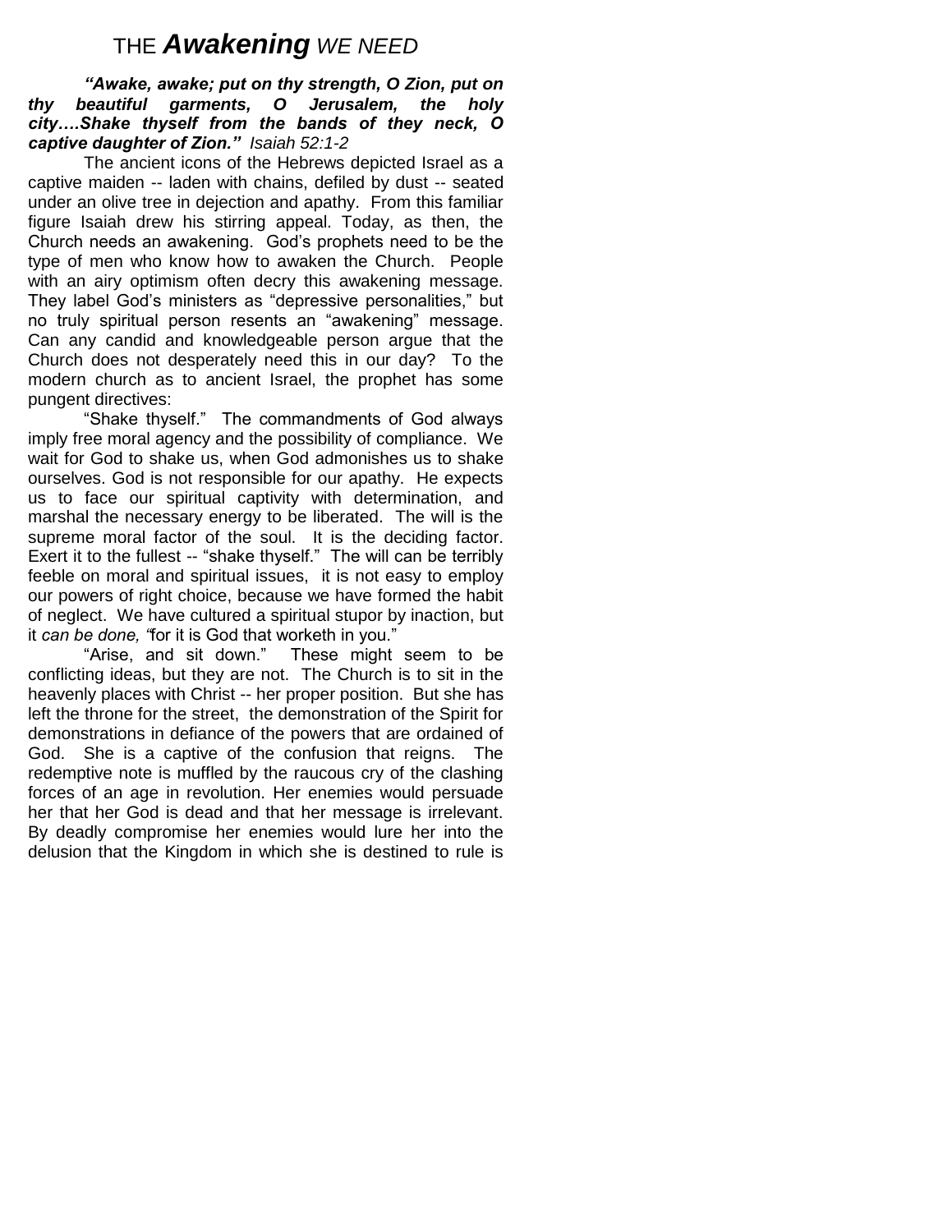# THE *Awakening WE NEED*

## *"Awake, awake; put on thy strength, O Zion, put on thy beautiful garments, O Jerusalem, the holy city….Shake thyself from the bands of they neck, O captive daughter of Zion." Isaiah 52:1-2*

The ancient icons of the Hebrews depicted Israel as a captive maiden -- laden with chains, defiled by dust -- seated under an olive tree in dejection and apathy. From this familiar figure Isaiah drew his stirring appeal. Today, as then, the Church needs an awakening. God's prophets need to be the type of men who know how to awaken the Church. People with an airy optimism often decry this awakening message. They label God's ministers as "depressive personalities," but no truly spiritual person resents an "awakening" message. Can any candid and knowledgeable person argue that the Church does not desperately need this in our day? To the modern church as to ancient Israel, the prophet has some pungent directives:

"Shake thyself." The commandments of God always imply free moral agency and the possibility of compliance. We wait for God to shake us, when God admonishes us to shake ourselves. God is not responsible for our apathy. He expects us to face our spiritual captivity with determination, and marshal the necessary energy to be liberated. The will is the supreme moral factor of the soul. It is the deciding factor. Exert it to the fullest -- "shake thyself." The will can be terribly feeble on moral and spiritual issues, it is not easy to employ our powers of right choice, because we have formed the habit of neglect. We have cultured a spiritual stupor by inaction, but it *can be done, "*for it is God that worketh in you."

"Arise, and sit down." These might seem to be conflicting ideas, but they are not. The Church is to sit in the heavenly places with Christ -- her proper position. But she has left the throne for the street, the demonstration of the Spirit for demonstrations in defiance of the powers that are ordained of God. She is a captive of the confusion that reigns. The redemptive note is muffled by the raucous cry of the clashing forces of an age in revolution. Her enemies would persuade her that her God is dead and that her message is irrelevant. By deadly compromise her enemies would lure her into the delusion that the Kingdom in which she is destined to rule is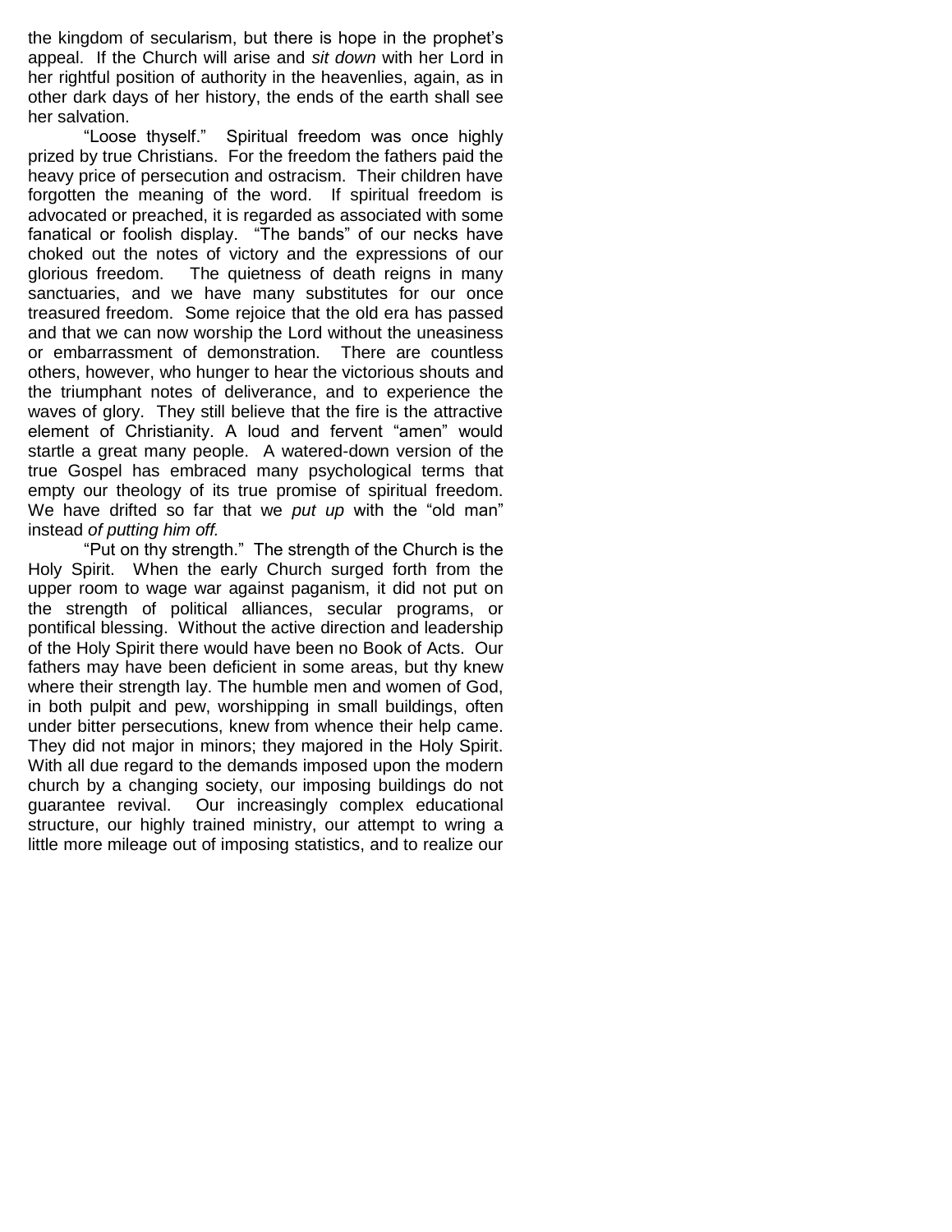the kingdom of secularism, but there is hope in the prophet's appeal. If the Church will arise and *sit down* with her Lord in her rightful position of authority in the heavenlies, again, as in other dark days of her history, the ends of the earth shall see her salvation.

"Loose thyself." Spiritual freedom was once highly prized by true Christians. For the freedom the fathers paid the heavy price of persecution and ostracism. Their children have forgotten the meaning of the word. If spiritual freedom is advocated or preached, it is regarded as associated with some fanatical or foolish display. "The bands" of our necks have choked out the notes of victory and the expressions of our glorious freedom. The quietness of death reigns in many sanctuaries, and we have many substitutes for our once treasured freedom. Some rejoice that the old era has passed and that we can now worship the Lord without the uneasiness or embarrassment of demonstration. There are countless others, however, who hunger to hear the victorious shouts and the triumphant notes of deliverance, and to experience the waves of glory. They still believe that the fire is the attractive element of Christianity. A loud and fervent "amen" would startle a great many people. A watered-down version of the true Gospel has embraced many psychological terms that empty our theology of its true promise of spiritual freedom. We have drifted so far that we *put up* with the "old man" instead *of putting him off.*

"Put on thy strength." The strength of the Church is the Holy Spirit. When the early Church surged forth from the upper room to wage war against paganism, it did not put on the strength of political alliances, secular programs, or pontifical blessing. Without the active direction and leadership of the Holy Spirit there would have been no Book of Acts. Our fathers may have been deficient in some areas, but thy knew where their strength lay. The humble men and women of God, in both pulpit and pew, worshipping in small buildings, often under bitter persecutions, knew from whence their help came. They did not major in minors; they majored in the Holy Spirit. With all due regard to the demands imposed upon the modern church by a changing society, our imposing buildings do not guarantee revival. Our increasingly complex educational structure, our highly trained ministry, our attempt to wring a little more mileage out of imposing statistics, and to realize our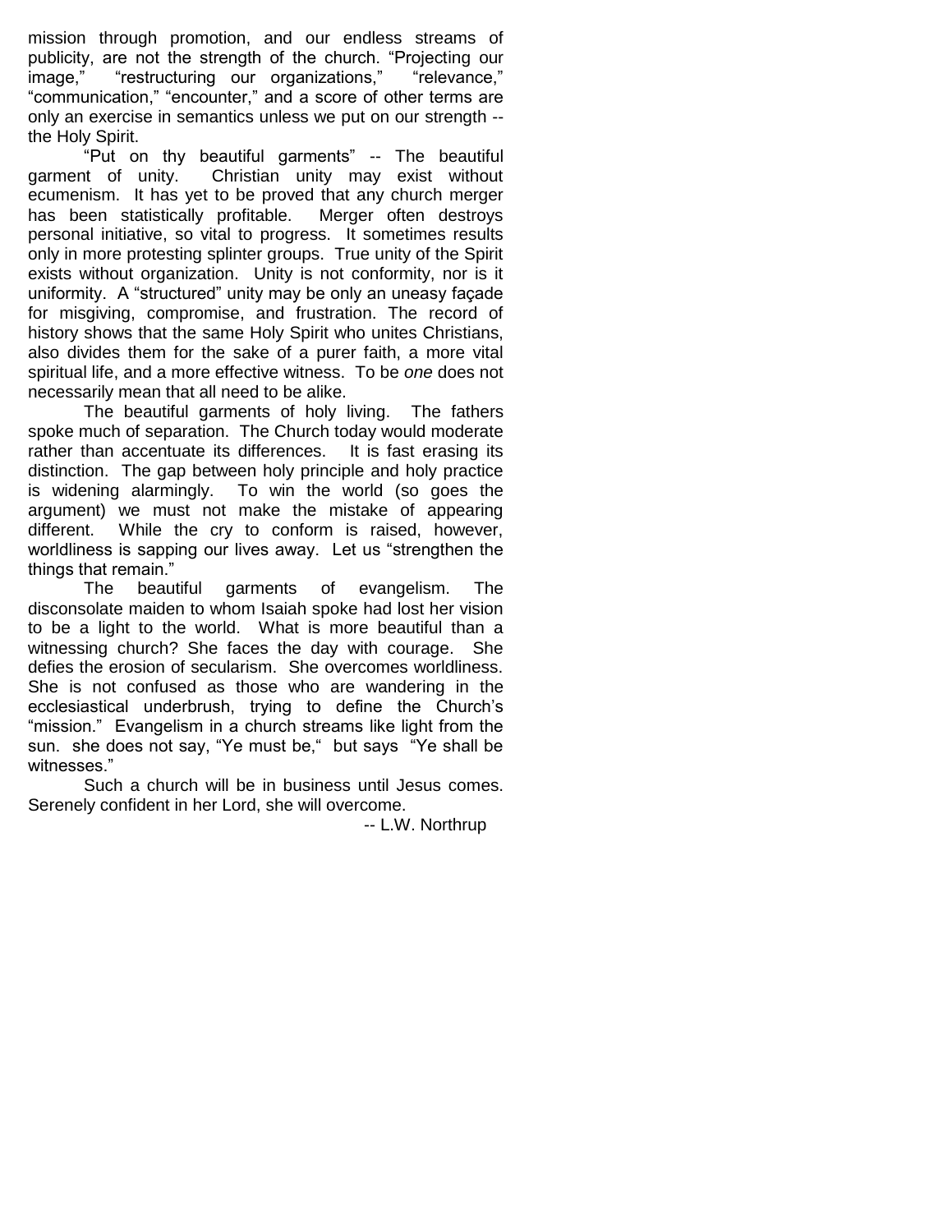mission through promotion, and our endless streams of publicity, are not the strength of the church. "Projecting our image." <br>
image." 
"restructuring our organizations." "relevance." image." "restructuring our organizations." "communication," "encounter," and a score of other terms are only an exercise in semantics unless we put on our strength - the Holy Spirit.

"Put on thy beautiful garments" -- The beautiful garment of unity. Christian unity may exist without ecumenism. It has yet to be proved that any church merger has been statistically profitable. Merger often destroys personal initiative, so vital to progress. It sometimes results only in more protesting splinter groups. True unity of the Spirit exists without organization. Unity is not conformity, nor is it uniformity. A "structured" unity may be only an uneasy façade for misgiving, compromise, and frustration. The record of history shows that the same Holy Spirit who unites Christians, also divides them for the sake of a purer faith, a more vital spiritual life, and a more effective witness. To be *one* does not necessarily mean that all need to be alike.

The beautiful garments of holy living. The fathers spoke much of separation. The Church today would moderate rather than accentuate its differences. It is fast erasing its distinction. The gap between holy principle and holy practice is widening alarmingly. To win the world (so goes the argument) we must not make the mistake of appearing different. While the cry to conform is raised, however, worldliness is sapping our lives away. Let us "strengthen the things that remain."

The beautiful garments of evangelism. The disconsolate maiden to whom Isaiah spoke had lost her vision to be a light to the world. What is more beautiful than a witnessing church? She faces the day with courage. She defies the erosion of secularism. She overcomes worldliness. She is not confused as those who are wandering in the ecclesiastical underbrush, trying to define the Church's "mission." Evangelism in a church streams like light from the sun. she does not say, "Ye must be," but says "Ye shall be witnesses."

Such a church will be in business until Jesus comes. Serenely confident in her Lord, she will overcome.

-- L.W. Northrup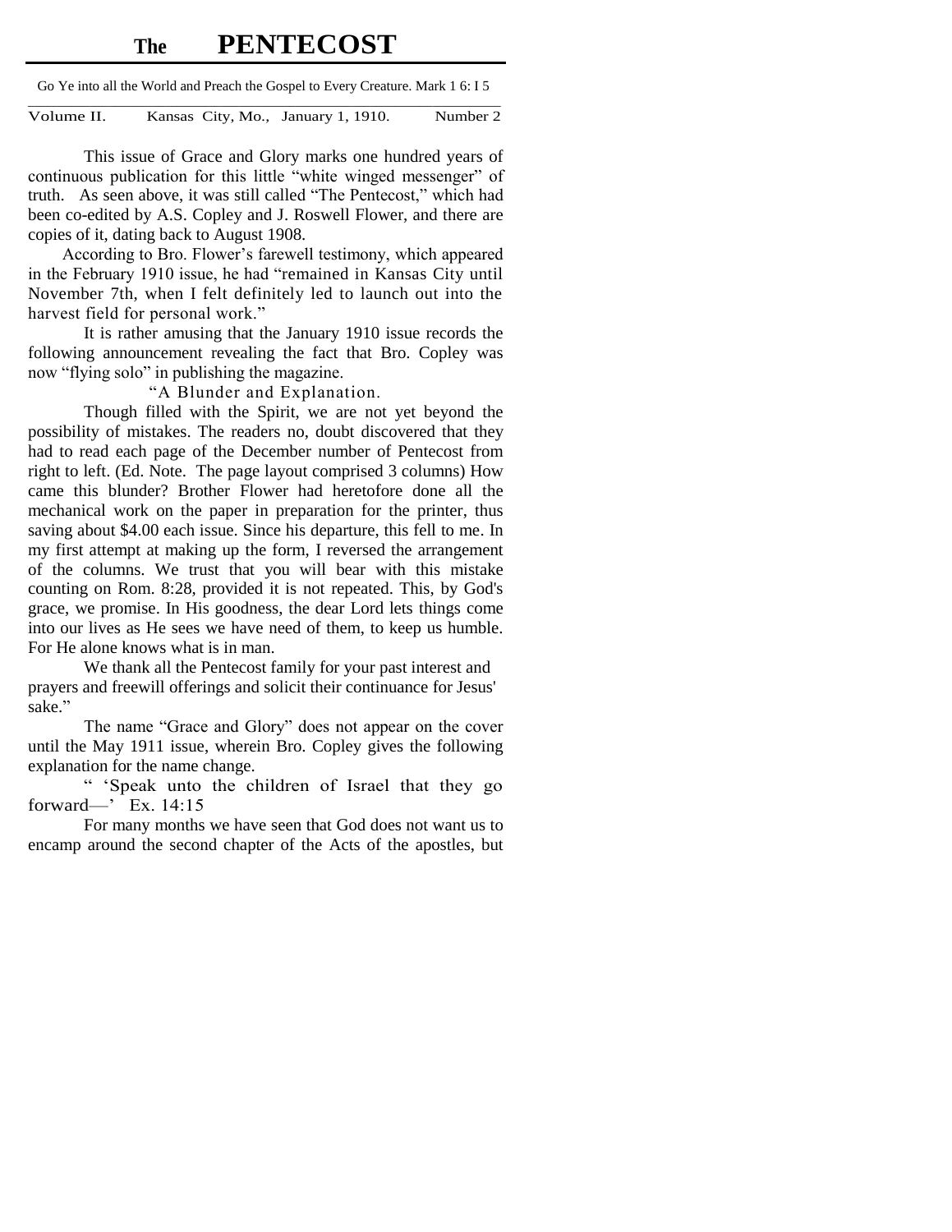# **The PENTECOST**

Go Ye into all the World and Preach the Gospel to Every Creature. Mark 1 6: I 5

\_\_\_\_\_\_\_\_\_\_\_\_\_\_\_\_\_\_\_\_\_\_\_\_\_\_\_\_\_\_\_\_\_\_\_\_\_\_\_\_\_\_\_\_\_\_\_\_\_\_\_\_\_\_\_\_\_\_\_\_\_\_\_\_\_\_\_\_\_\_\_\_\_\_\_\_ Volume II. Kansas City, Mo., January 1, 1910. Number 2

This issue of Grace and Glory marks one hundred years of continuous publication for this little "white winged messenger" of truth. As seen above, it was still called "The Pentecost," which had been co-edited by A.S. Copley and J. Roswell Flower, and there are copies of it, dating back to August 1908.

 According to Bro. Flower's farewell testimony, which appeared in the February 1910 issue, he had "remained in Kansas City until November 7th, when I felt definitely led to launch out into the harvest field for personal work."

It is rather amusing that the January 1910 issue records the following announcement revealing the fact that Bro. Copley was now "flying solo" in publishing the magazine.

"A Blunder and Explanation.

Though filled with the Spirit, we are not yet beyond the possibility of mistakes. The readers no, doubt discovered that they had to read each page of the December number of Pentecost from right to left. (Ed. Note. The page layout comprised 3 columns) How came this blunder? Brother Flower had heretofore done all the mechanical work on the paper in preparation for the printer, thus saving about \$4.00 each issue. Since his departure, this fell to me. In my first attempt at making up the form, I reversed the arrangement of the columns. We trust that you will bear with this mistake counting on Rom. 8:28, provided it is not repeated. This, by God's grace, we promise. In His goodness, the dear Lord lets things come into our lives as He sees we have need of them, to keep us humble. For He alone knows what is in man.

We thank all the Pentecost family for your past interest and prayers and freewill offerings and solicit their continuance for Jesus' sake."

The name "Grace and Glory" does not appear on the cover until the May 1911 issue, wherein Bro. Copley gives the following explanation for the name change.

 ― ‗Speak unto the children of Israel that they go forward—' Ex. 14:15

For many months we have seen that God does not want us to encamp around the second chapter of the Acts of the apostles, but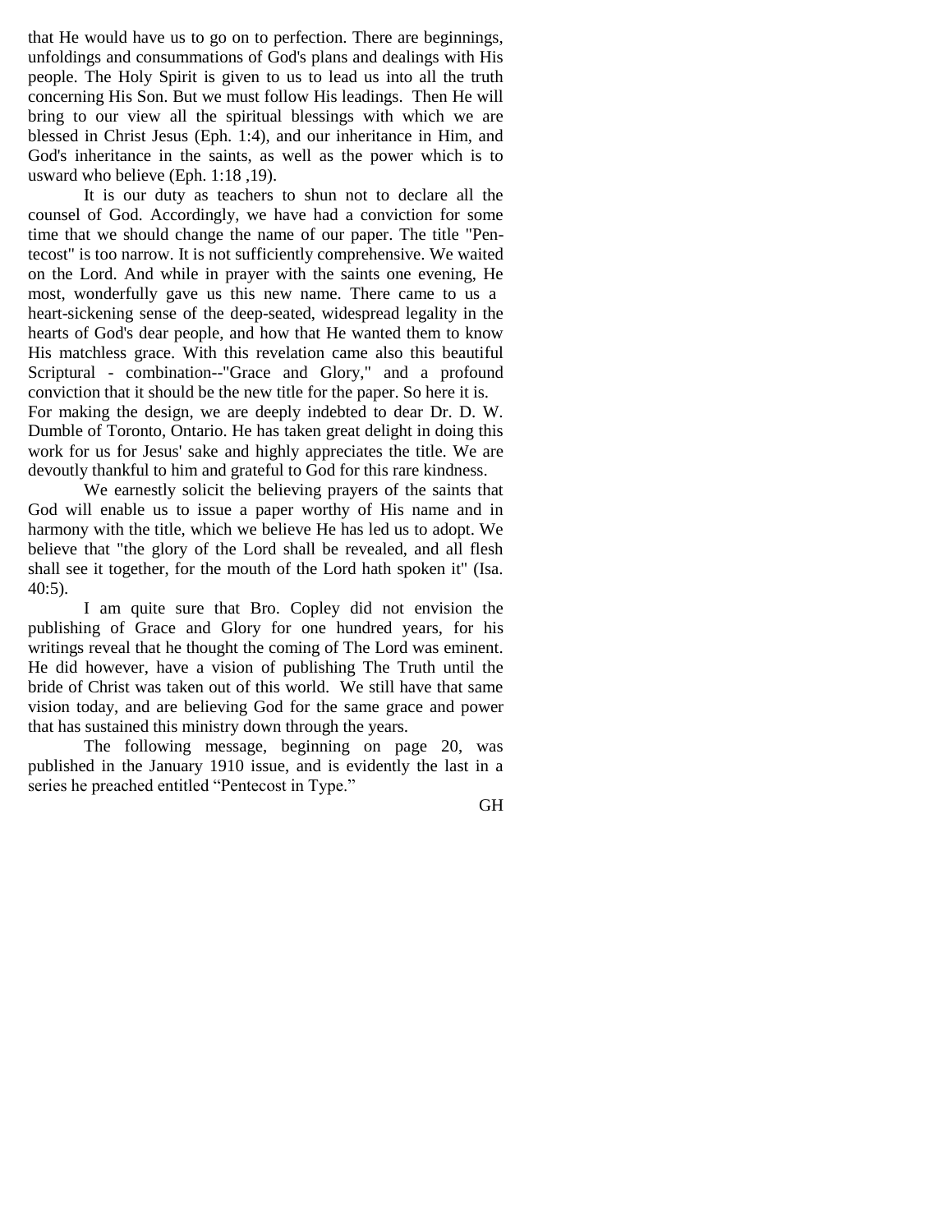that He would have us to go on to perfection. There are beginnings, unfoldings and consummations of God's plans and dealings with His people. The Holy Spirit is given to us to lead us into all the truth concerning His Son. But we must follow His leadings. Then He will bring to our view all the spiritual blessings with which we are blessed in Christ Jesus (Eph. 1:4), and our inheritance in Him, and God's inheritance in the saints, as well as the power which is to usward who believe (Eph. 1:18 ,19).

It is our duty as teachers to shun not to declare all the counsel of God. Accordingly, we have had a conviction for some time that we should change the name of our paper. The title "Pentecost" is too narrow. It is not sufficiently comprehensive. We waited on the Lord. And while in prayer with the saints one evening, He most, wonderfully gave us this new name. There came to us a heart-sickening sense of the deep-seated, widespread legality in the hearts of God's dear people, and how that He wanted them to know His matchless grace. With this revelation came also this beautiful Scriptural - combination--"Grace and Glory," and a profound conviction that it should be the new title for the paper. So here it is. For making the design, we are deeply indebted to dear Dr. D. W. Dumble of Toronto, Ontario. He has taken great delight in doing this work for us for Jesus' sake and highly appreciates the title. We are devoutly thankful to him and grateful to God for this rare kindness.

We earnestly solicit the believing prayers of the saints that God will enable us to issue a paper worthy of His name and in harmony with the title, which we believe He has led us to adopt. We believe that "the glory of the Lord shall be revealed, and all flesh shall see it together, for the mouth of the Lord hath spoken it" (Isa.  $40:5$ ).

I am quite sure that Bro. Copley did not envision the publishing of Grace and Glory for one hundred years, for his writings reveal that he thought the coming of The Lord was eminent. He did however, have a vision of publishing The Truth until the bride of Christ was taken out of this world. We still have that same vision today, and are believing God for the same grace and power that has sustained this ministry down through the years.

The following message, beginning on page 20, was published in the January 1910 issue, and is evidently the last in a series he preached entitled "Pentecost in Type."

GH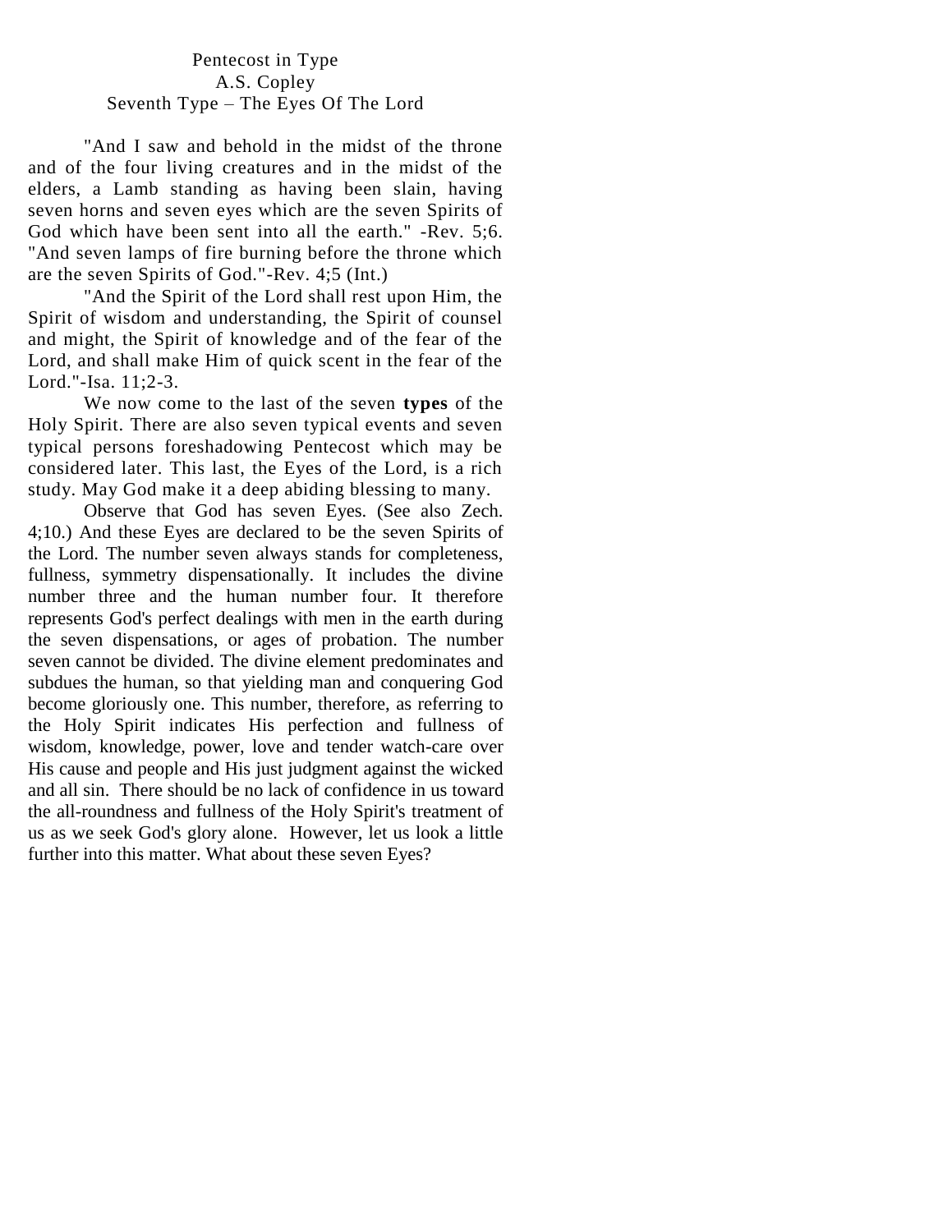# Pentecost in Type A.S. Copley Seventh Type – The Eyes Of The Lord

"And I saw and behold in the midst of the throne and of the four living creatures and in the midst of the elders, a Lamb standing as having been slain, having seven horns and seven eyes which are the seven Spirits of God which have been sent into all the earth." -Rev. 5;6. "And seven lamps of fire burning before the throne which are the seven Spirits of God."-Rev. 4;5 (Int.)

"And the Spirit of the Lord shall rest upon Him, the Spirit of wisdom and understanding, the Spirit of counsel and might, the Spirit of knowledge and of the fear of the Lord, and shall make Him of quick scent in the fear of the Lord."-Isa. 11;2-3.

We now come to the last of the seven **types** of the Holy Spirit. There are also seven typical events and seven typical persons foreshadowing Pentecost which may be considered later. This last, the Eyes of the Lord, is a rich study. May God make it a deep abiding blessing to many.

Observe that God has seven Eyes. (See also Zech. 4;10.) And these Eyes are declared to be the seven Spirits of the Lord. The number seven always stands for completeness, fullness, symmetry dispensationally. It includes the divine number three and the human number four. It therefore represents God's perfect dealings with men in the earth during the seven dispensations, or ages of probation. The number seven cannot be divided. The divine element predominates and subdues the human, so that yielding man and conquering God become gloriously one. This number, therefore, as referring to the Holy Spirit indicates His perfection and fullness of wisdom, knowledge, power, love and tender watch-care over His cause and people and His just judgment against the wicked and all sin. There should be no lack of confidence in us toward the all-roundness and fullness of the Holy Spirit's treatment of us as we seek God's glory alone. However, let us look a little further into this matter. What about these seven Eyes?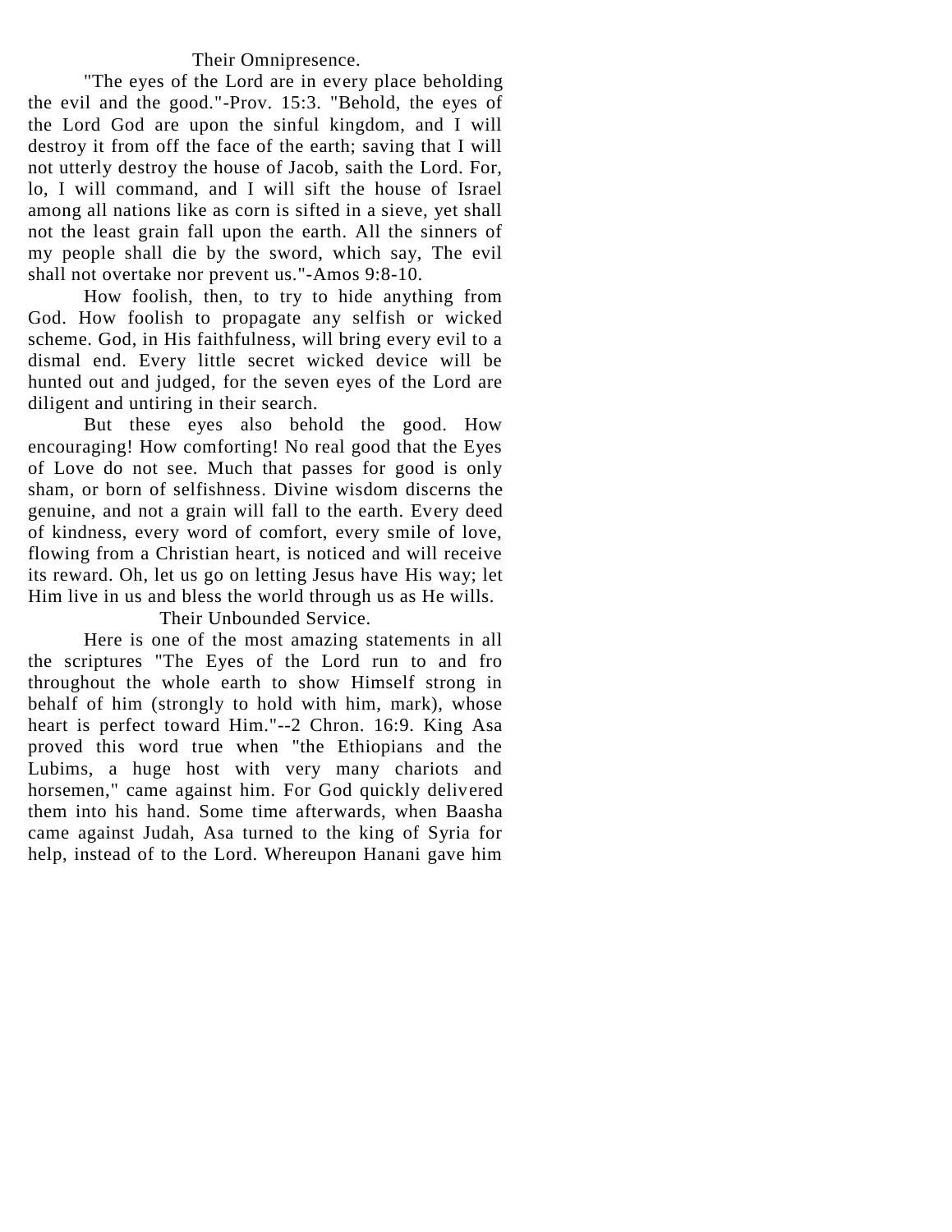# Their Omnipresence.

"The eyes of the Lord are in every place beholding the evil and the good."-Prov. 15:3. "Behold, the eyes of the Lord God are upon the sinful kingdom, and I will destroy it from off the face of the earth; saving that I will not utterly destroy the house of Jacob, saith the Lord. For, lo, I will command, and I will sift the house of Israel among all nations like as corn is sifted in a sieve, yet shall not the least grain fall upon the earth. All the sinners of my people shall die by the sword, which say, The evil shall not overtake nor prevent us."-Amos 9:8-10.

How foolish, then, to try to hide anything from God. How foolish to propagate any selfish or wicked scheme. God, in His faithfulness, will bring every evil to a dismal end. Every little secret wicked device will be hunted out and judged, for the seven eyes of the Lord are diligent and untiring in their search.

But these eyes also behold the good. How encouraging! How comforting! No real good that the Eyes of Love do not see. Much that passes for good is only sham, or born of selfishness. Divine wisdom discerns the genuine, and not a grain will fall to the earth. Every deed of kindness, every word of comfort, every smile of love, flowing from a Christian heart, is noticed and will receive its reward. Oh, let us go on letting Jesus have His way; let Him live in us and bless the world through us as He wills.

Their Unbounded Service.

Here is one of the most amazing statements in all the scriptures "The Eyes of the Lord run to and fro throughout the whole earth to show Himself strong in behalf of him (strongly to hold with him, mark), whose heart is perfect toward Him."--2 Chron. 16:9. King Asa proved this word true when "the Ethiopians and the Lubims, a huge host with very many chariots and horsemen," came against him. For God quickly delivered them into his hand. Some time afterwards, when Baasha came against Judah, Asa turned to the king of Syria for help, instead of to the Lord. Whereupon Hanani gave him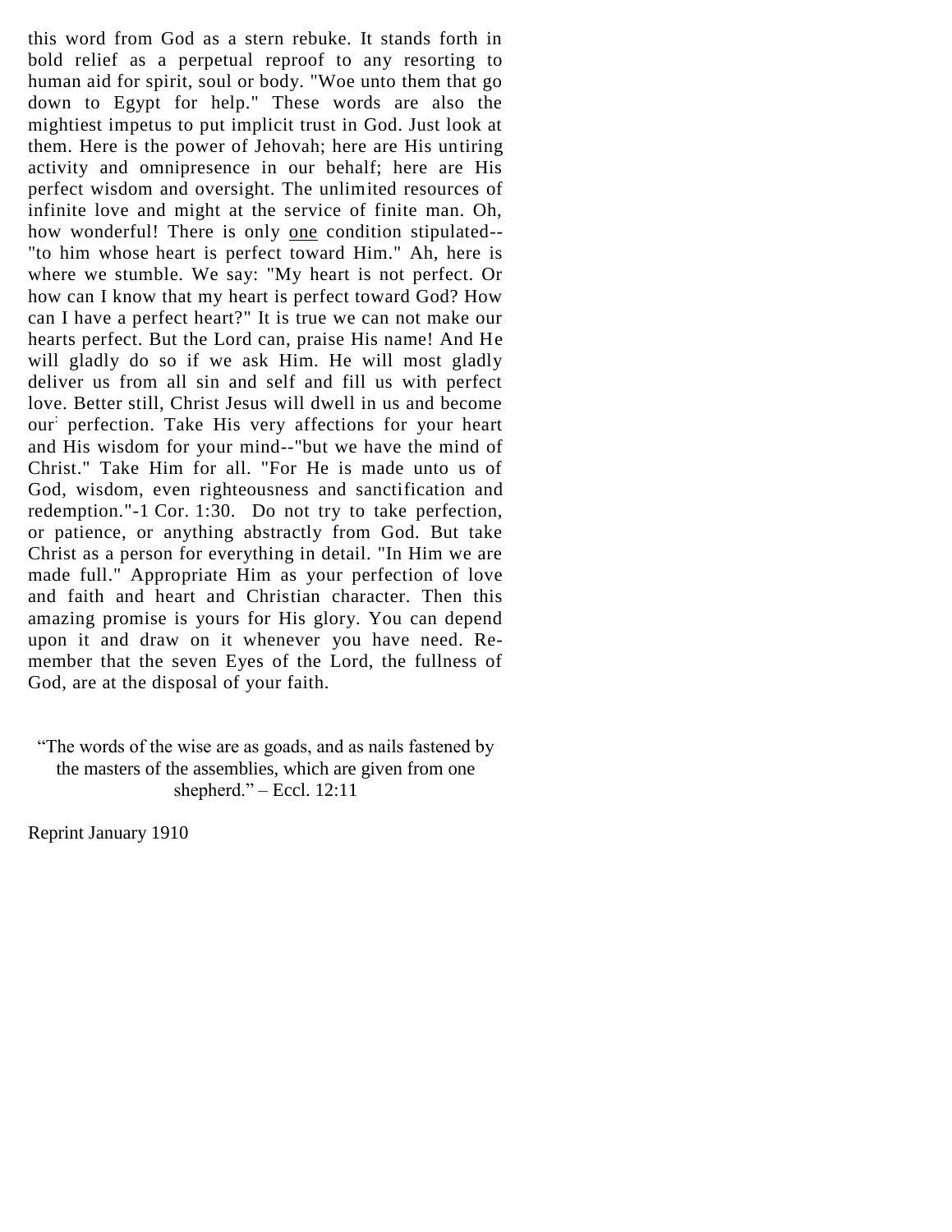this word from God as a stern rebuke. It stands forth in bold relief as a perpetual reproof to any resorting to human aid for spirit, soul or body. "Woe unto them that go down to Egypt for help." These words are also the mightiest impetus to put implicit trust in God. Just look at them. Here is the power of Jehovah; here are His untiring activity and omnipresence in our behalf; here are His perfect wisdom and oversight. The unlimited resources of infinite love and might at the service of finite man. Oh, how wonderful! There is only one condition stipulated-- "to him whose heart is perfect toward Him." Ah, here is where we stumble. We say: "My heart is not perfect. Or how can I know that my heart is perfect toward God? How can I have a perfect heart?" It is true we can not make our hearts perfect. But the Lord can, praise His name! And He will gladly do so if we ask Him. He will most gladly deliver us from all sin and self and fill us with perfect love. Better still, Christ Jesus will dwell in us and become our: perfection. Take His very affections for your heart and His wisdom for your mind--"but we have the mind of Christ." Take Him for all. "For He is made unto us of God, wisdom, even righteousness and sanctification and redemption."-1 Cor. 1:30. Do not try to take perfection, or patience, or anything abstractly from God. But take Christ as a person for everything in detail. "In Him we are made full." Appropriate Him as your perfection of love and faith and heart and Christian character. Then this amazing promise is yours for His glory. You can depend upon it and draw on it whenever you have need. Remember that the seven Eyes of the Lord, the fullness of God, are at the disposal of your faith.

―The words of the wise are as goads, and as nails fastened by the masters of the assemblies, which are given from one shepherd." – Eccl.  $12:11$ 

Reprint January 1910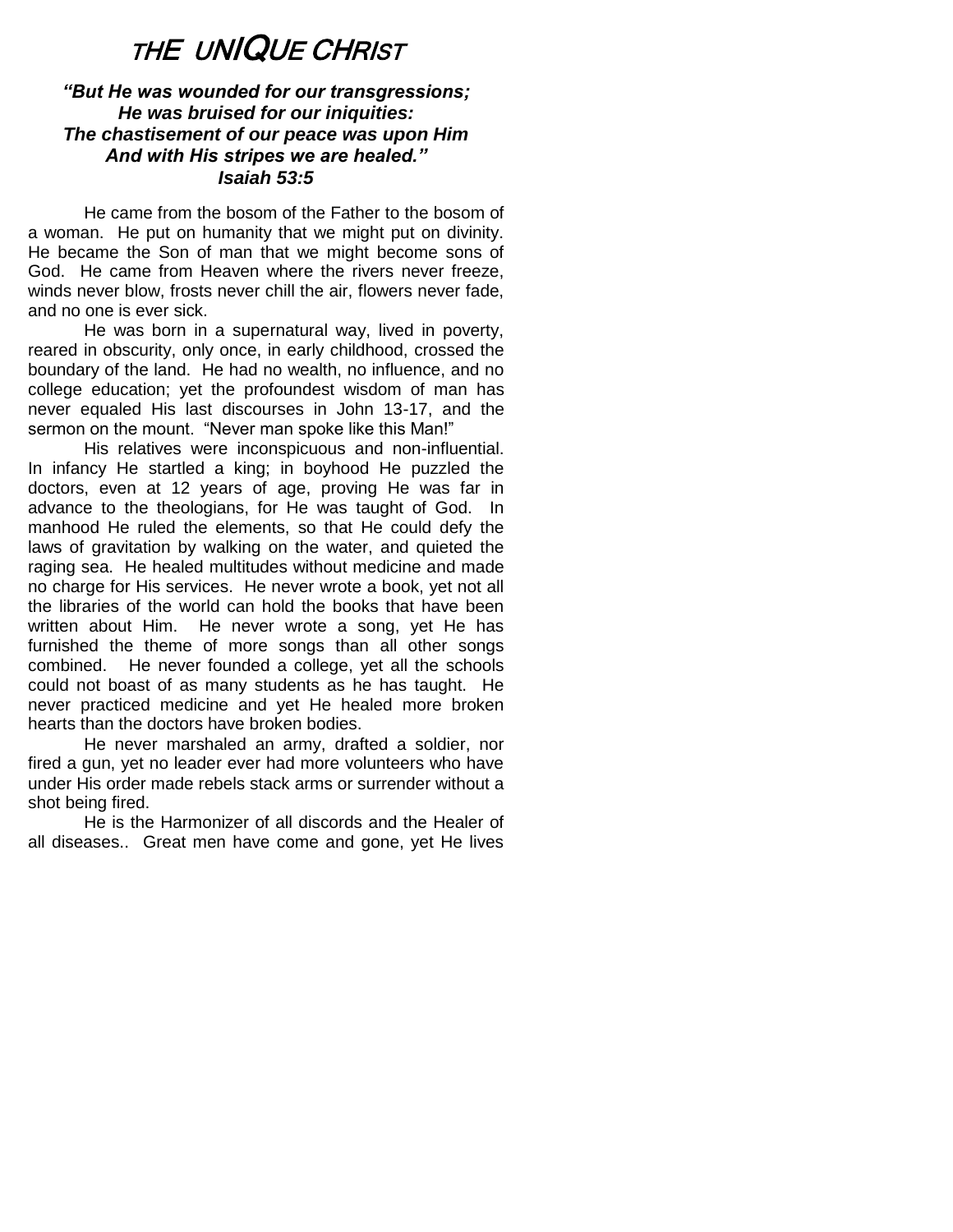# <sup>T</sup>HE UNIQUE CHRIST

# *"But He was wounded for our transgressions; He was bruised for our iniquities: The chastisement of our peace was upon Him And with His stripes we are healed." Isaiah 53:5*

He came from the bosom of the Father to the bosom of a woman. He put on humanity that we might put on divinity. He became the Son of man that we might become sons of God. He came from Heaven where the rivers never freeze, winds never blow, frosts never chill the air, flowers never fade, and no one is ever sick.

He was born in a supernatural way, lived in poverty, reared in obscurity, only once, in early childhood, crossed the boundary of the land. He had no wealth, no influence, and no college education; yet the profoundest wisdom of man has never equaled His last discourses in John 13-17, and the sermon on the mount. "Never man spoke like this Man!"

His relatives were inconspicuous and non-influential. In infancy He startled a king; in boyhood He puzzled the doctors, even at 12 years of age, proving He was far in advance to the theologians, for He was taught of God. In manhood He ruled the elements, so that He could defy the laws of gravitation by walking on the water, and quieted the raging sea. He healed multitudes without medicine and made no charge for His services. He never wrote a book, yet not all the libraries of the world can hold the books that have been written about Him. He never wrote a song, yet He has furnished the theme of more songs than all other songs combined. He never founded a college, yet all the schools could not boast of as many students as he has taught. He never practiced medicine and yet He healed more broken hearts than the doctors have broken bodies.

He never marshaled an army, drafted a soldier, nor fired a gun, yet no leader ever had more volunteers who have under His order made rebels stack arms or surrender without a shot being fired.

He is the Harmonizer of all discords and the Healer of all diseases.. Great men have come and gone, yet He lives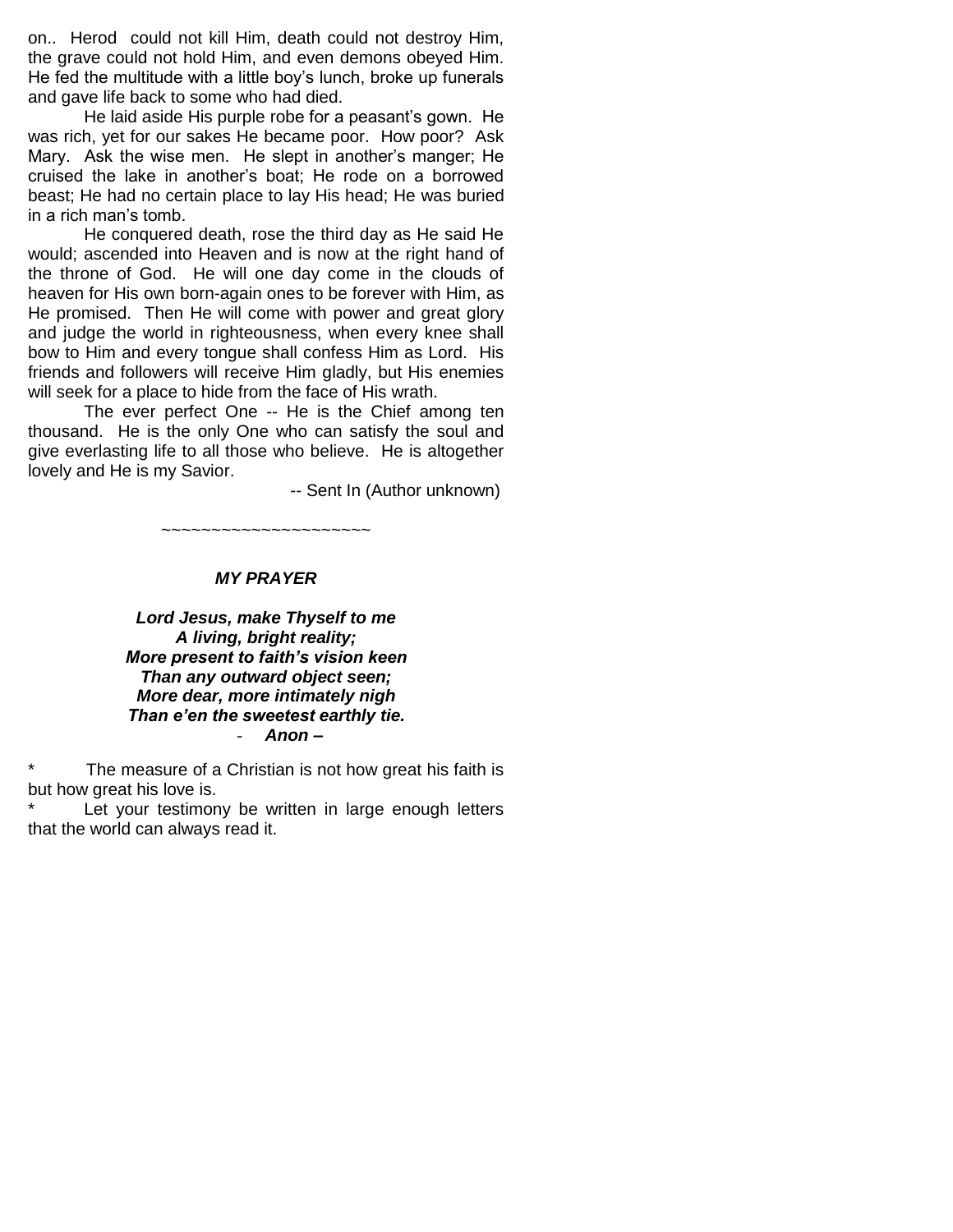on.. Herod could not kill Him, death could not destroy Him, the grave could not hold Him, and even demons obeyed Him. He fed the multitude with a little boy's lunch, broke up funerals and gave life back to some who had died.

He laid aside His purple robe for a peasant's gown. He was rich, yet for our sakes He became poor. How poor? Ask Mary. Ask the wise men. He slept in another's manger; He cruised the lake in another's boat; He rode on a borrowed beast; He had no certain place to lay His head; He was buried in a rich man's tomb.

He conquered death, rose the third day as He said He would; ascended into Heaven and is now at the right hand of the throne of God. He will one day come in the clouds of heaven for His own born-again ones to be forever with Him, as He promised. Then He will come with power and great glory and judge the world in righteousness, when every knee shall bow to Him and every tongue shall confess Him as Lord. His friends and followers will receive Him gladly, but His enemies will seek for a place to hide from the face of His wrath.

The ever perfect One -- He is the Chief among ten thousand. He is the only One who can satisfy the soul and give everlasting life to all those who believe. He is altogether lovely and He is my Savior.

-- Sent In (Author unknown)

~~~~~~~~~~~~~~~~~~~~~

#### *MY PRAYER*

#### *Lord Jesus, make Thyself to me A living, bright reality; More present to faith's vision keen Than any outward object seen; More dear, more intimately nigh Than e'en the sweetest earthly tie.* - *Anon –*

\* The measure of a Christian is not how great his faith is but how great his love is.

Let your testimony be written in large enough letters that the world can always read it.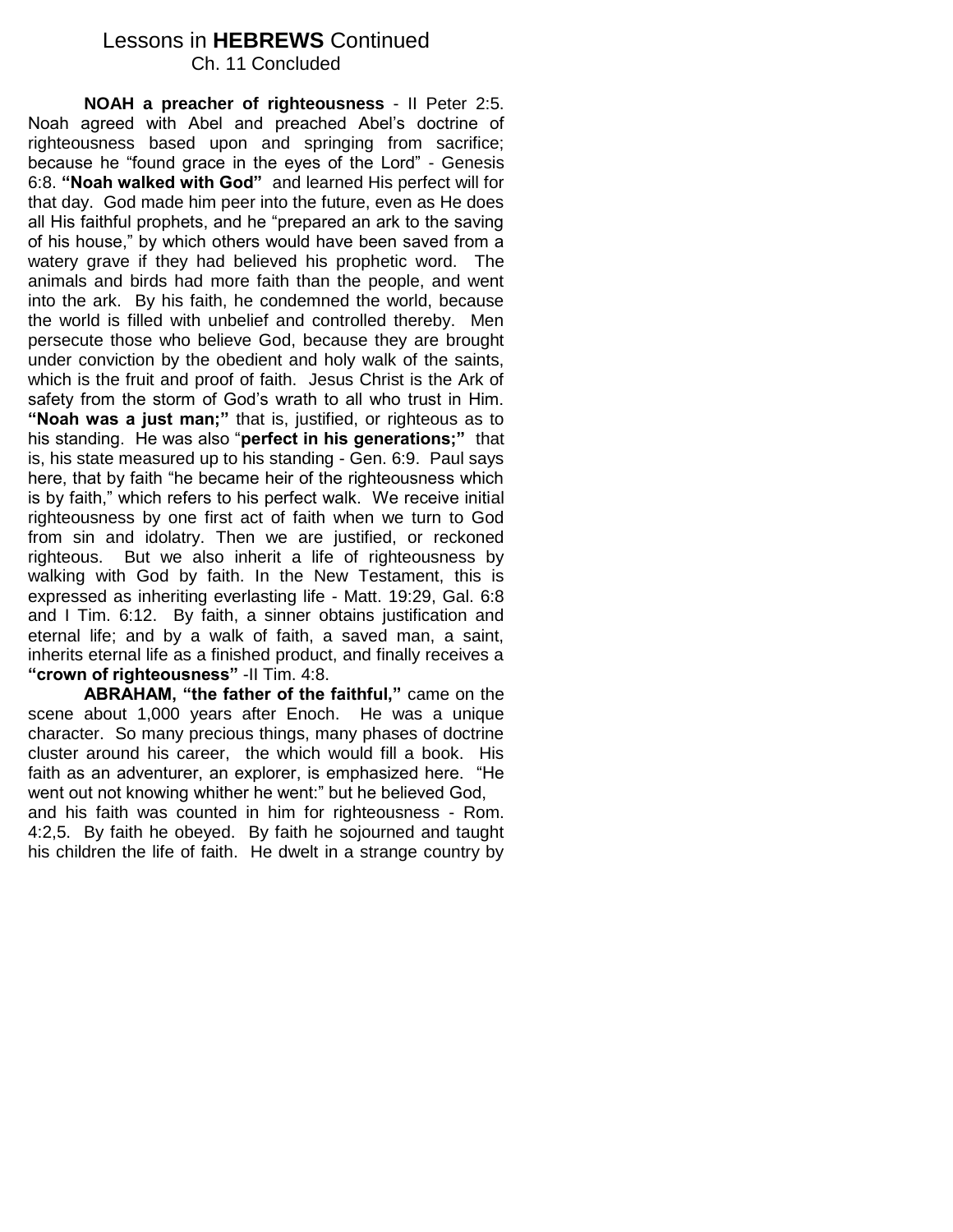# Lessons in **HEBREWS** Continued Ch. 11 Concluded

**NOAH a preacher of righteousness** - II Peter 2:5. Noah agreed with Abel and preached Abel's doctrine of righteousness based upon and springing from sacrifice; because he "found grace in the eyes of the Lord" - Genesis 6:8. **"Noah walked with God"** and learned His perfect will for that day. God made him peer into the future, even as He does all His faithful prophets, and he "prepared an ark to the saving of his house," by which others would have been saved from a watery grave if they had believed his prophetic word. The animals and birds had more faith than the people, and went into the ark. By his faith, he condemned the world, because the world is filled with unbelief and controlled thereby. Men persecute those who believe God, because they are brought under conviction by the obedient and holy walk of the saints, which is the fruit and proof of faith. Jesus Christ is the Ark of safety from the storm of God's wrath to all who trust in Him. **"Noah was a just man;"** that is, justified, or righteous as to his standing. He was also "**perfect in his generations;"** that is, his state measured up to his standing - Gen. 6:9. Paul says here, that by faith "he became heir of the righteousness which is by faith," which refers to his perfect walk. We receive initial righteousness by one first act of faith when we turn to God from sin and idolatry. Then we are justified, or reckoned righteous. But we also inherit a life of righteousness by walking with God by faith. In the New Testament, this is expressed as inheriting everlasting life - Matt. 19:29, Gal. 6:8 and I Tim. 6:12. By faith, a sinner obtains justification and eternal life; and by a walk of faith, a saved man, a saint, inherits eternal life as a finished product, and finally receives a **"crown of righteousness"** -II Tim. 4:8.

**ABRAHAM, "the father of the faithful,"** came on the scene about 1,000 years after Enoch. He was a unique character. So many precious things, many phases of doctrine cluster around his career, the which would fill a book. His faith as an adventurer, an explorer, is emphasized here. "He went out not knowing whither he went:" but he believed God, and his faith was counted in him for righteousness - Rom. 4:2,5. By faith he obeyed. By faith he sojourned and taught his children the life of faith. He dwelt in a strange country by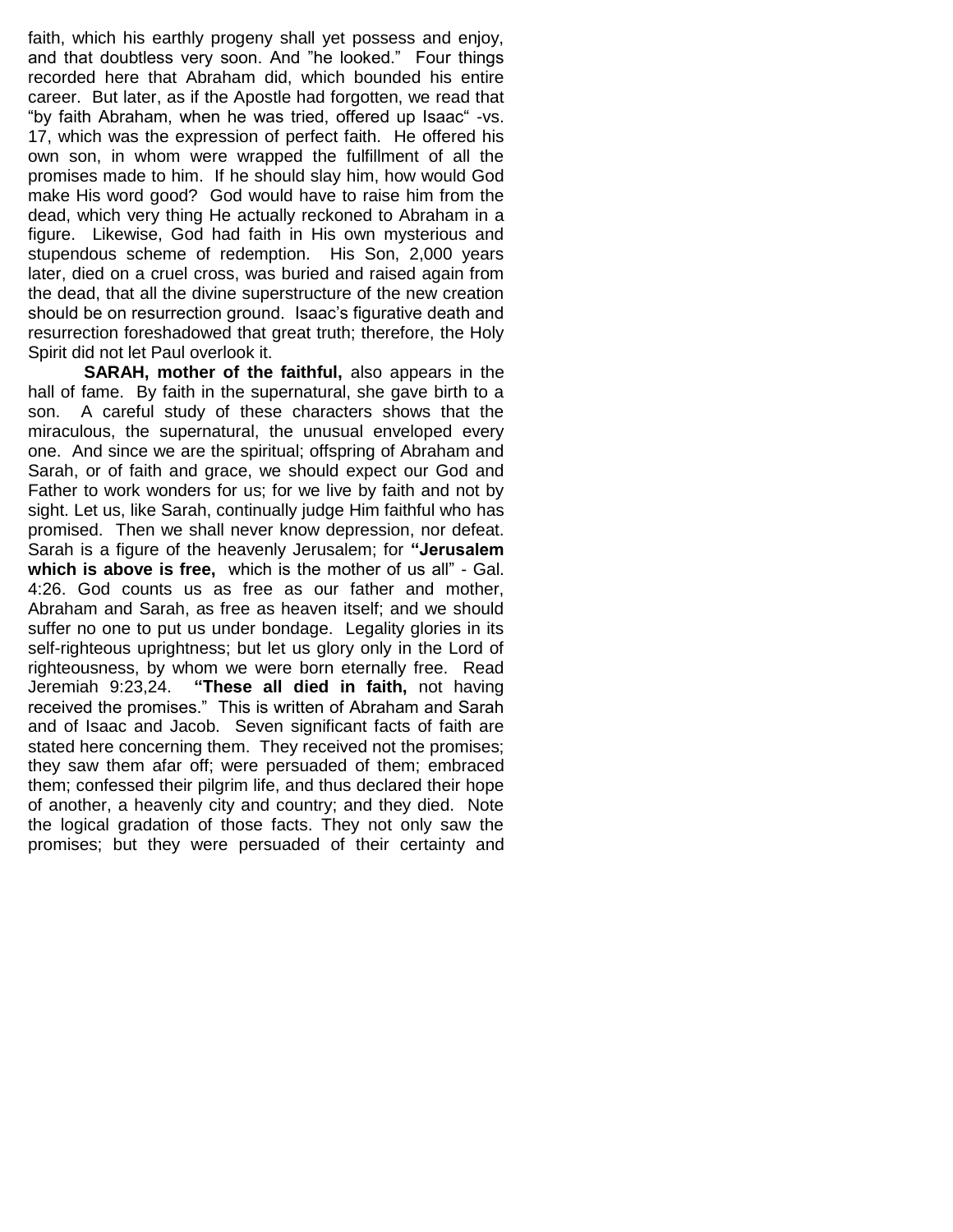faith, which his earthly progeny shall yet possess and enjoy, and that doubtless very soon. And "he looked." Four things recorded here that Abraham did, which bounded his entire career. But later, as if the Apostle had forgotten, we read that "by faith Abraham, when he was tried, offered up Isaac" -vs. 17, which was the expression of perfect faith. He offered his own son, in whom were wrapped the fulfillment of all the promises made to him. If he should slay him, how would God make His word good? God would have to raise him from the dead, which very thing He actually reckoned to Abraham in a figure. Likewise, God had faith in His own mysterious and stupendous scheme of redemption. His Son, 2,000 years later, died on a cruel cross, was buried and raised again from the dead, that all the divine superstructure of the new creation should be on resurrection ground. Isaac's figurative death and resurrection foreshadowed that great truth; therefore, the Holy Spirit did not let Paul overlook it.

**SARAH, mother of the faithful,** also appears in the hall of fame. By faith in the supernatural, she gave birth to a son. A careful study of these characters shows that the miraculous, the supernatural, the unusual enveloped every one. And since we are the spiritual; offspring of Abraham and Sarah, or of faith and grace, we should expect our God and Father to work wonders for us; for we live by faith and not by sight. Let us, like Sarah, continually judge Him faithful who has promised. Then we shall never know depression, nor defeat. Sarah is a figure of the heavenly Jerusalem; for **"Jerusalem which is above is free,** which is the mother of us all" - Gal. 4:26. God counts us as free as our father and mother, Abraham and Sarah, as free as heaven itself; and we should suffer no one to put us under bondage. Legality glories in its self-righteous uprightness; but let us glory only in the Lord of righteousness, by whom we were born eternally free. Read Jeremiah 9:23,24. **"These all died in faith,** not having received the promises." This is written of Abraham and Sarah and of Isaac and Jacob. Seven significant facts of faith are stated here concerning them. They received not the promises; they saw them afar off; were persuaded of them; embraced them; confessed their pilgrim life, and thus declared their hope of another, a heavenly city and country; and they died. Note the logical gradation of those facts. They not only saw the promises; but they were persuaded of their certainty and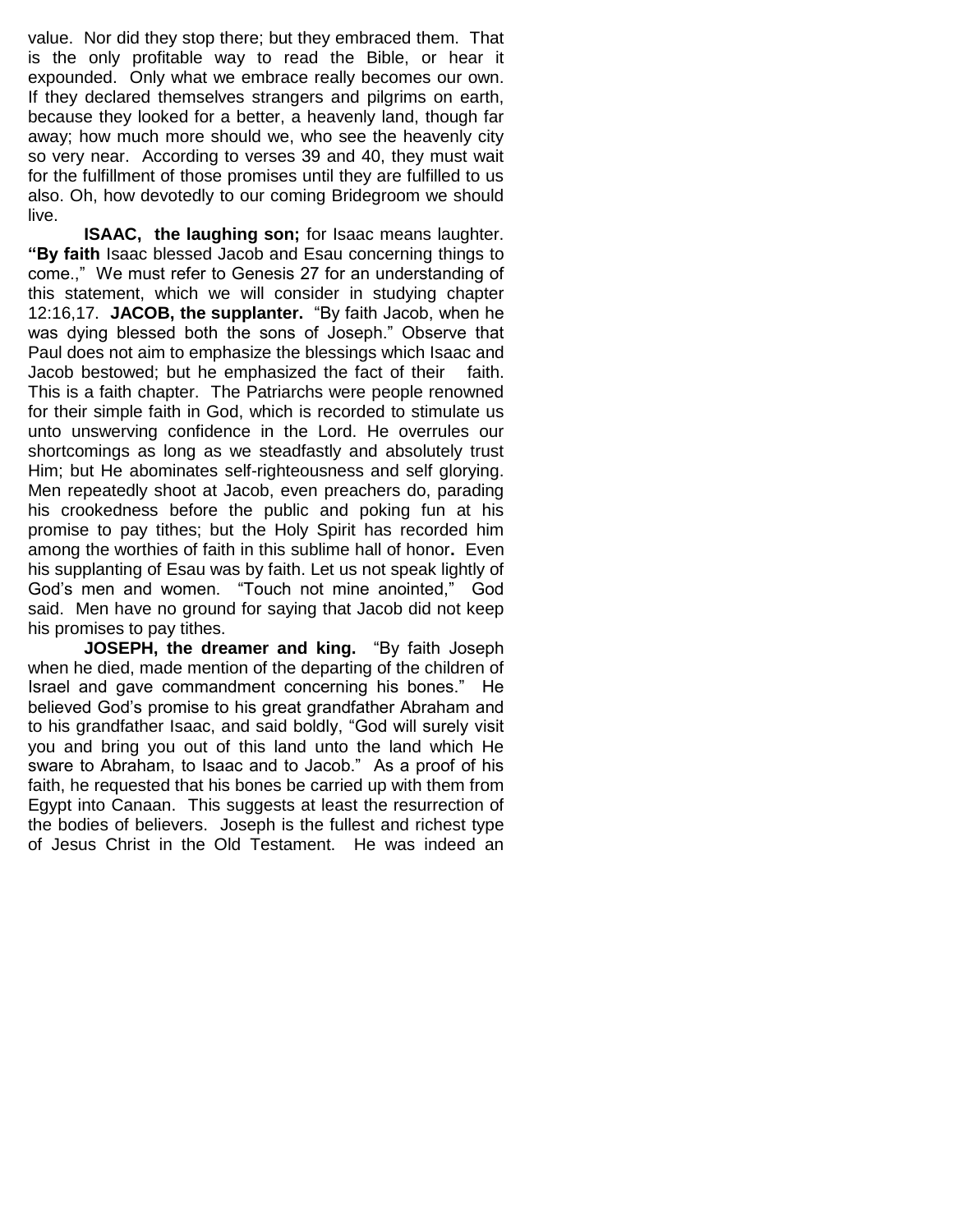value. Nor did they stop there; but they embraced them. That is the only profitable way to read the Bible, or hear it expounded. Only what we embrace really becomes our own. If they declared themselves strangers and pilgrims on earth, because they looked for a better, a heavenly land, though far away; how much more should we, who see the heavenly city so very near. According to verses 39 and 40, they must wait for the fulfillment of those promises until they are fulfilled to us also. Oh, how devotedly to our coming Bridegroom we should live.

**ISAAC, the laughing son;** for Isaac means laughter. **"By faith** Isaac blessed Jacob and Esau concerning things to come.," We must refer to Genesis 27 for an understanding of this statement, which we will consider in studying chapter 12:16,17. **JACOB, the supplanter.** "By faith Jacob, when he was dying blessed both the sons of Joseph." Observe that Paul does not aim to emphasize the blessings which Isaac and Jacob bestowed; but he emphasized the fact of their faith. This is a faith chapter. The Patriarchs were people renowned for their simple faith in God, which is recorded to stimulate us unto unswerving confidence in the Lord. He overrules our shortcomings as long as we steadfastly and absolutely trust Him; but He abominates self-righteousness and self glorying. Men repeatedly shoot at Jacob, even preachers do, parading his crookedness before the public and poking fun at his promise to pay tithes; but the Holy Spirit has recorded him among the worthies of faith in this sublime hall of honor**.** Even his supplanting of Esau was by faith. Let us not speak lightly of God's men and women. "Touch not mine anointed," God said. Men have no ground for saying that Jacob did not keep his promises to pay tithes.

**JOSEPH, the dreamer and king.** "By faith Joseph when he died, made mention of the departing of the children of Israel and gave commandment concerning his bones." He believed God's promise to his great grandfather Abraham and to his grandfather Isaac, and said boldly, "God will surely visit you and bring you out of this land unto the land which He sware to Abraham, to Isaac and to Jacob." As a proof of his faith, he requested that his bones be carried up with them from Egypt into Canaan. This suggests at least the resurrection of the bodies of believers. Joseph is the fullest and richest type of Jesus Christ in the Old Testament. He was indeed an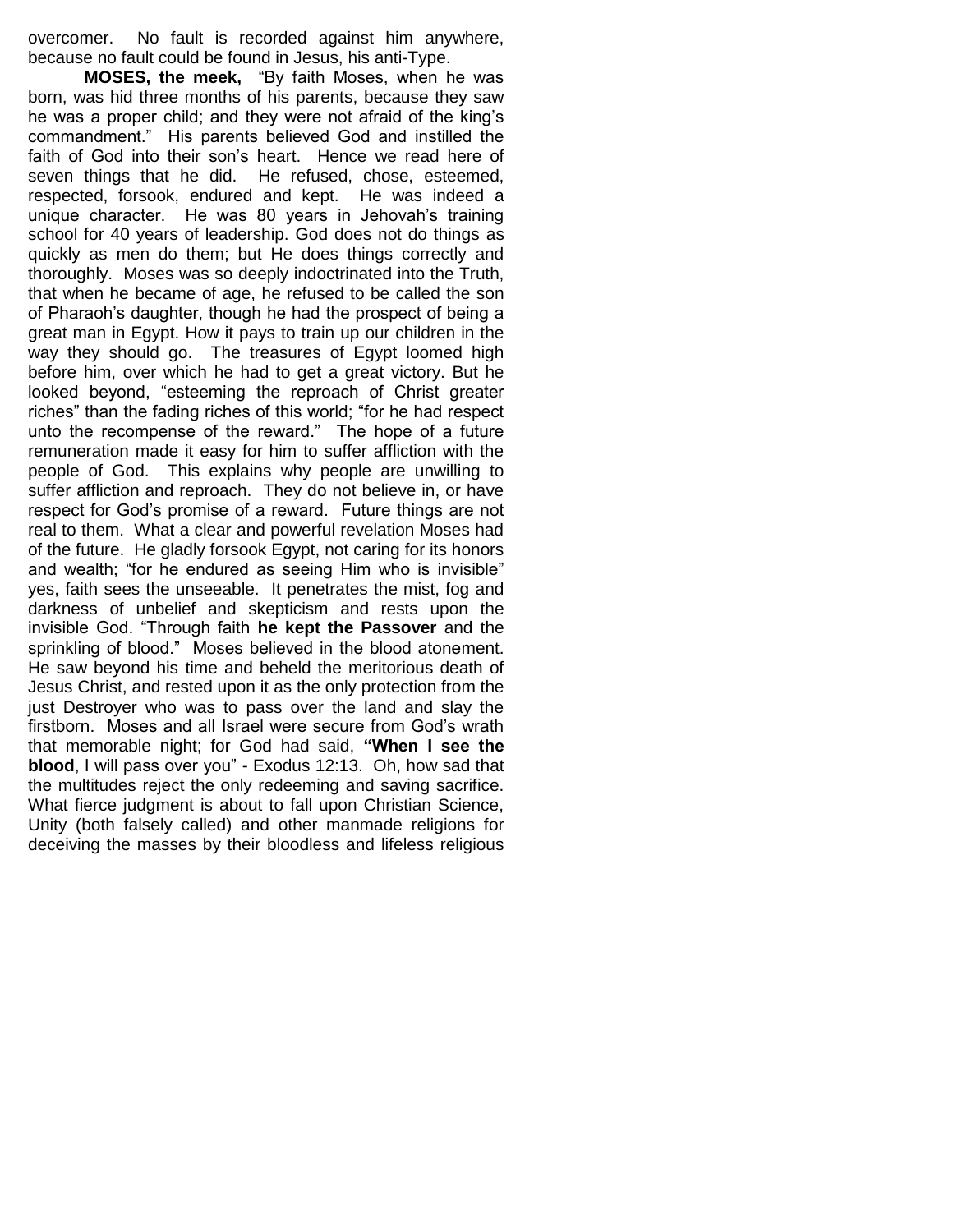overcomer. No fault is recorded against him anywhere, because no fault could be found in Jesus, his anti-Type.

**MOSES, the meek,** "By faith Moses, when he was born, was hid three months of his parents, because they saw he was a proper child; and they were not afraid of the king's commandment." His parents believed God and instilled the faith of God into their son's heart. Hence we read here of seven things that he did. He refused, chose, esteemed, respected, forsook, endured and kept. He was indeed a unique character. He was 80 years in Jehovah's training school for 40 years of leadership. God does not do things as quickly as men do them; but He does things correctly and thoroughly. Moses was so deeply indoctrinated into the Truth, that when he became of age, he refused to be called the son of Pharaoh's daughter, though he had the prospect of being a great man in Egypt. How it pays to train up our children in the way they should go. The treasures of Egypt loomed high before him, over which he had to get a great victory. But he looked beyond, "esteeming the reproach of Christ greater riches" than the fading riches of this world; "for he had respect unto the recompense of the reward." The hope of a future remuneration made it easy for him to suffer affliction with the people of God. This explains why people are unwilling to suffer affliction and reproach. They do not believe in, or have respect for God's promise of a reward. Future things are not real to them. What a clear and powerful revelation Moses had of the future. He gladly forsook Egypt, not caring for its honors and wealth; "for he endured as seeing Him who is invisible" yes, faith sees the unseeable. It penetrates the mist, fog and darkness of unbelief and skepticism and rests upon the invisible God. "Through faith **he kept the Passover** and the sprinkling of blood." Moses believed in the blood atonement. He saw beyond his time and beheld the meritorious death of Jesus Christ, and rested upon it as the only protection from the just Destroyer who was to pass over the land and slay the firstborn. Moses and all Israel were secure from God's wrath that memorable night; for God had said, **"When I see the blood**, I will pass over you" - Exodus 12:13. Oh, how sad that the multitudes reject the only redeeming and saving sacrifice. What fierce judgment is about to fall upon Christian Science, Unity (both falsely called) and other manmade religions for deceiving the masses by their bloodless and lifeless religious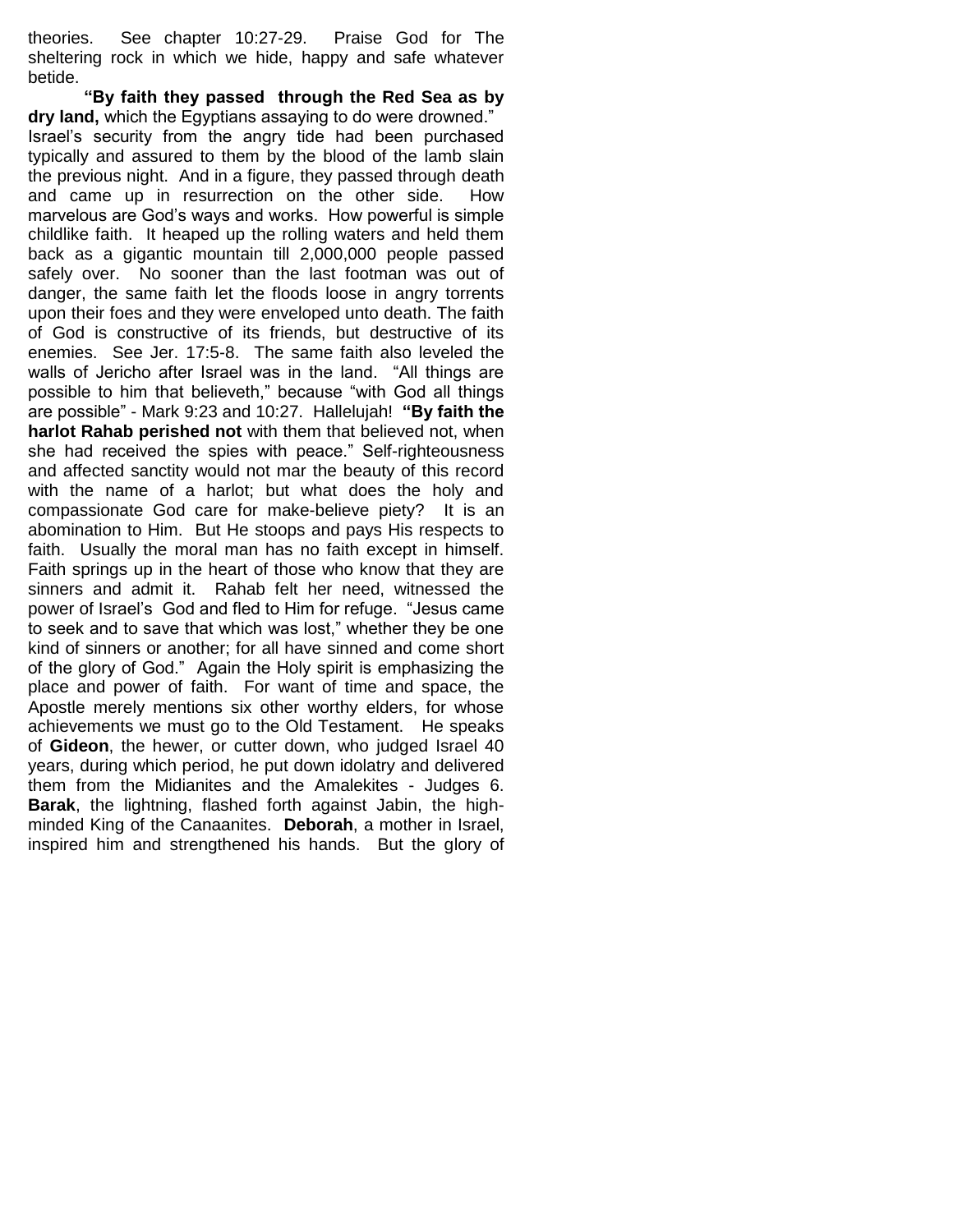theories. See chapter 10:27-29. Praise God for The sheltering rock in which we hide, happy and safe whatever betide.

**"By faith they passed through the Red Sea as by dry land,** which the Egyptians assaying to do were drowned." Israel's security from the angry tide had been purchased typically and assured to them by the blood of the lamb slain the previous night. And in a figure, they passed through death and came up in resurrection on the other side. How marvelous are God's ways and works. How powerful is simple childlike faith. It heaped up the rolling waters and held them back as a gigantic mountain till 2,000,000 people passed safely over. No sooner than the last footman was out of danger, the same faith let the floods loose in angry torrents upon their foes and they were enveloped unto death. The faith of God is constructive of its friends, but destructive of its enemies. See Jer. 17:5-8. The same faith also leveled the walls of Jericho after Israel was in the land. "All things are possible to him that believeth," because "with God all things are possible" - Mark 9:23 and 10:27. Hallelujah! **"By faith the harlot Rahab perished not** with them that believed not, when she had received the spies with peace." Self-righteousness and affected sanctity would not mar the beauty of this record with the name of a harlot; but what does the holy and compassionate God care for make-believe piety? It is an abomination to Him. But He stoops and pays His respects to faith. Usually the moral man has no faith except in himself. Faith springs up in the heart of those who know that they are sinners and admit it. Rahab felt her need, witnessed the power of Israel's God and fled to Him for refuge. "Jesus came to seek and to save that which was lost," whether they be one kind of sinners or another; for all have sinned and come short of the glory of God." Again the Holy spirit is emphasizing the place and power of faith. For want of time and space, the Apostle merely mentions six other worthy elders, for whose achievements we must go to the Old Testament. He speaks of **Gideon**, the hewer, or cutter down, who judged Israel 40 years, during which period, he put down idolatry and delivered them from the Midianites and the Amalekites - Judges 6. **Barak**, the lightning, flashed forth against Jabin, the highminded King of the Canaanites. **Deborah**, a mother in Israel, inspired him and strengthened his hands. But the glory of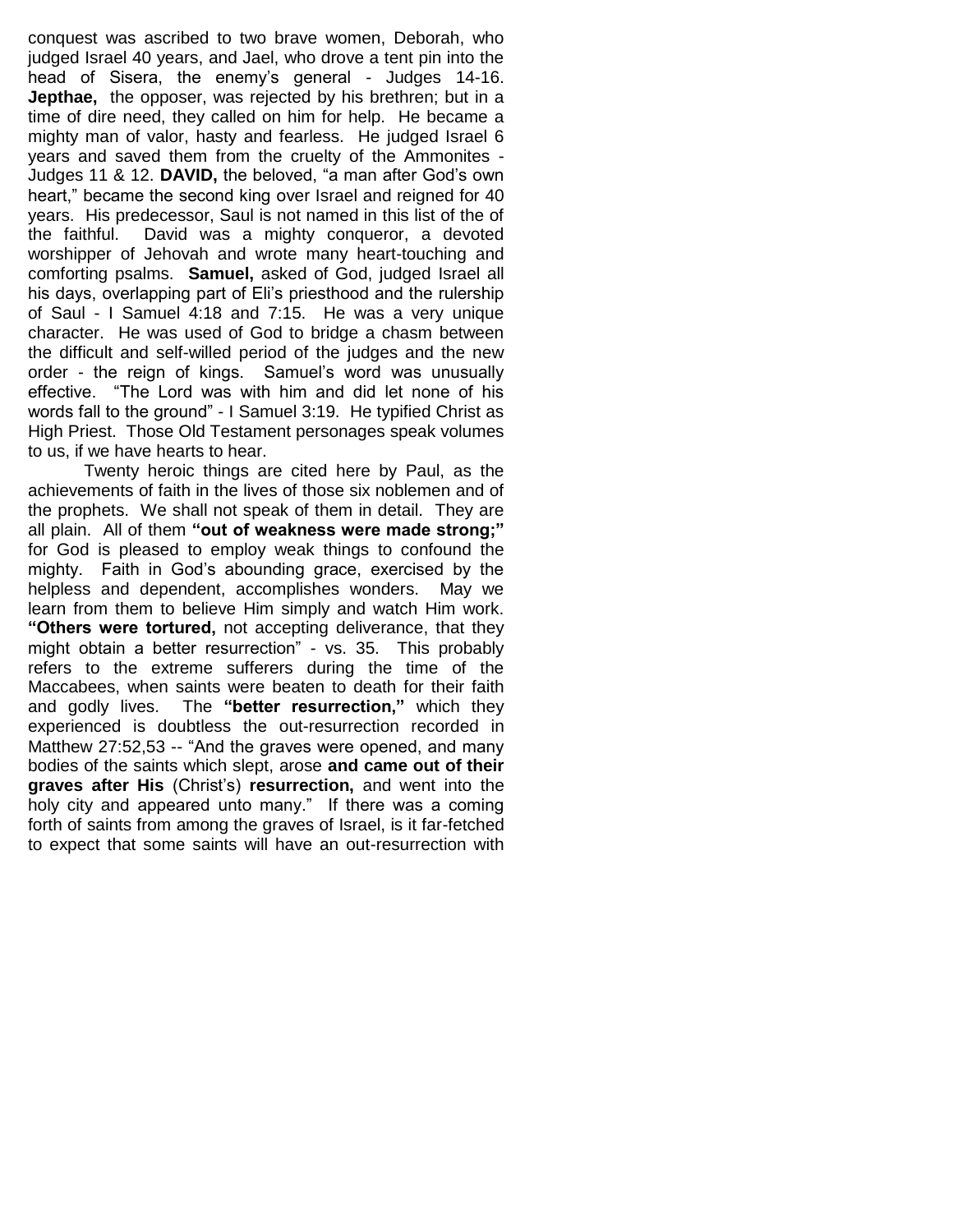conquest was ascribed to two brave women, Deborah, who judged Israel 40 years, and Jael, who drove a tent pin into the head of Sisera, the enemy's general - Judges 14-16. **Jepthae,** the opposer, was rejected by his brethren; but in a time of dire need, they called on him for help. He became a mighty man of valor, hasty and fearless. He judged Israel 6 years and saved them from the cruelty of the Ammonites - Judges 11 & 12. **DAVID,** the beloved, "a man after God's own heart," became the second king over Israel and reigned for 40 years. His predecessor, Saul is not named in this list of the of the faithful. David was a mighty conqueror, a devoted worshipper of Jehovah and wrote many heart-touching and comforting psalms. **Samuel,** asked of God, judged Israel all his days, overlapping part of Eli's priesthood and the rulership of Saul - I Samuel 4:18 and 7:15. He was a very unique character. He was used of God to bridge a chasm between the difficult and self-willed period of the judges and the new order - the reign of kings. Samuel's word was unusually effective. "The Lord was with him and did let none of his words fall to the ground" - I Samuel 3:19. He typified Christ as High Priest. Those Old Testament personages speak volumes to us, if we have hearts to hear.

Twenty heroic things are cited here by Paul, as the achievements of faith in the lives of those six noblemen and of the prophets. We shall not speak of them in detail. They are all plain. All of them **"out of weakness were made strong;"**  for God is pleased to employ weak things to confound the mighty. Faith in God's abounding grace, exercised by the helpless and dependent, accomplishes wonders. May we learn from them to believe Him simply and watch Him work. **"Others were tortured,** not accepting deliverance, that they might obtain a better resurrection" - vs. 35. This probably refers to the extreme sufferers during the time of the Maccabees, when saints were beaten to death for their faith and godly lives. The **"better resurrection,"** which they experienced is doubtless the out-resurrection recorded in Matthew 27:52,53 -- "And the graves were opened, and many bodies of the saints which slept, arose **and came out of their graves after His** (Christ's) **resurrection,** and went into the holy city and appeared unto many." If there was a coming forth of saints from among the graves of Israel, is it far-fetched to expect that some saints will have an out-resurrection with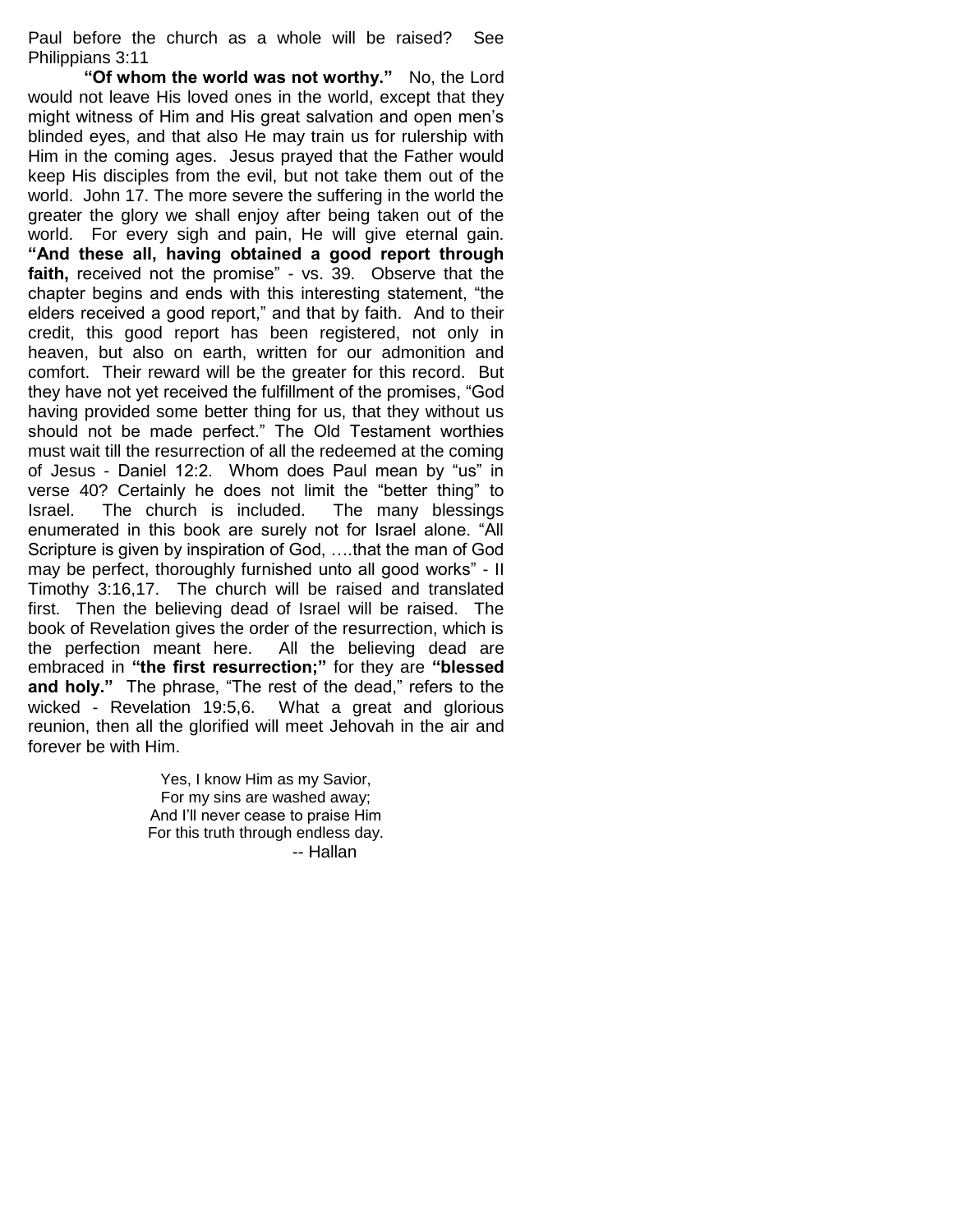Paul before the church as a whole will be raised? See Philippians 3:11

**"Of whom the world was not worthy."** No, the Lord would not leave His loved ones in the world, except that they might witness of Him and His great salvation and open men's blinded eyes, and that also He may train us for rulership with Him in the coming ages. Jesus prayed that the Father would keep His disciples from the evil, but not take them out of the world. John 17. The more severe the suffering in the world the greater the glory we shall enjoy after being taken out of the world. For every sigh and pain, He will give eternal gain. **"And these all, having obtained a good report through**  faith, received not the promise" - vs. 39. Observe that the chapter begins and ends with this interesting statement, "the elders received a good report," and that by faith. And to their credit, this good report has been registered, not only in heaven, but also on earth, written for our admonition and comfort. Their reward will be the greater for this record. But they have not yet received the fulfillment of the promises, "God having provided some better thing for us, that they without us should not be made perfect." The Old Testament worthies must wait till the resurrection of all the redeemed at the coming of Jesus - Daniel 12:2. Whom does Paul mean by "us" in verse 40? Certainly he does not limit the "better thing" to Israel. The church is included. The many blessings enumerated in this book are surely not for Israel alone. "All Scripture is given by inspiration of God, ….that the man of God may be perfect, thoroughly furnished unto all good works" - II Timothy 3:16,17. The church will be raised and translated first. Then the believing dead of Israel will be raised. The book of Revelation gives the order of the resurrection, which is the perfection meant here. All the believing dead are embraced in **"the first resurrection;"** for they are **"blessed and holy."** The phrase, "The rest of the dead," refers to the wicked - Revelation 19:5,6. What a great and glorious reunion, then all the glorified will meet Jehovah in the air and forever be with Him.

> Yes, I know Him as my Savior, For my sins are washed away; And I'll never cease to praise Him For this truth through endless day. -- Hallan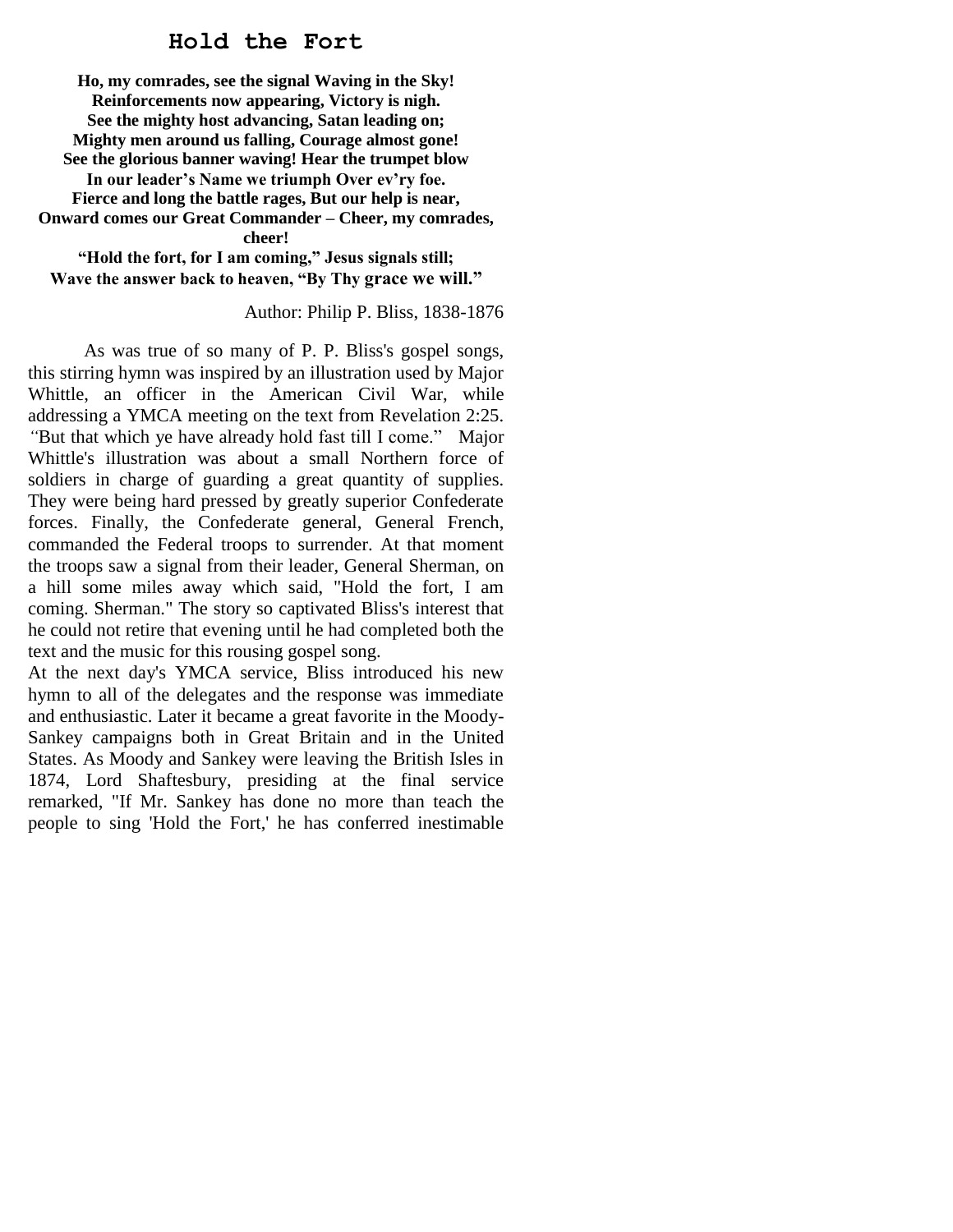# **Hold the Fort**

**Ho, my comrades, see the signal Waving in the Sky! Reinforcements now appearing, Victory is nigh. See the mighty host advancing, Satan leading on; Mighty men around us falling, Courage almost gone! See the glorious banner waving! Hear the trumpet blow In our leader's Name we triumph Over ev'ry foe. Fierce and long the battle rages, But our help is near, Onward comes our Great Commander – Cheer, my comrades, cheer!**

**"Hold the fort, for I am coming," Jesus signals still; Wave the answer back to heaven, "By Thy grace we will."**

#### Author: Philip P. Bliss, 1838-1876

As was true of so many of P. P. Bliss's gospel songs, this stirring hymn was inspired by an illustration used by Major Whittle, an officer in the American Civil War, while addressing a YMCA meeting on the text from Revelation 2:25. "But that which ye have already hold fast till I come." Major Whittle's illustration was about a small Northern force of soldiers in charge of guarding a great quantity of supplies. They were being hard pressed by greatly superior Confederate forces. Finally, the Confederate general, General French, commanded the Federal troops to surrender. At that moment the troops saw a signal from their leader, General Sherman, on a hill some miles away which said, "Hold the fort, I am coming. Sherman." The story so captivated Bliss's interest that he could not retire that evening until he had completed both the text and the music for this rousing gospel song.

At the next day's YMCA service, Bliss introduced his new hymn to all of the delegates and the response was immediate and enthusiastic. Later it became a great favorite in the Moody-Sankey campaigns both in Great Britain and in the United States. As Moody and Sankey were leaving the British Isles in 1874, Lord Shaftesbury, presiding at the final service remarked, "If Mr. Sankey has done no more than teach the people to sing 'Hold the Fort,' he has conferred inestimable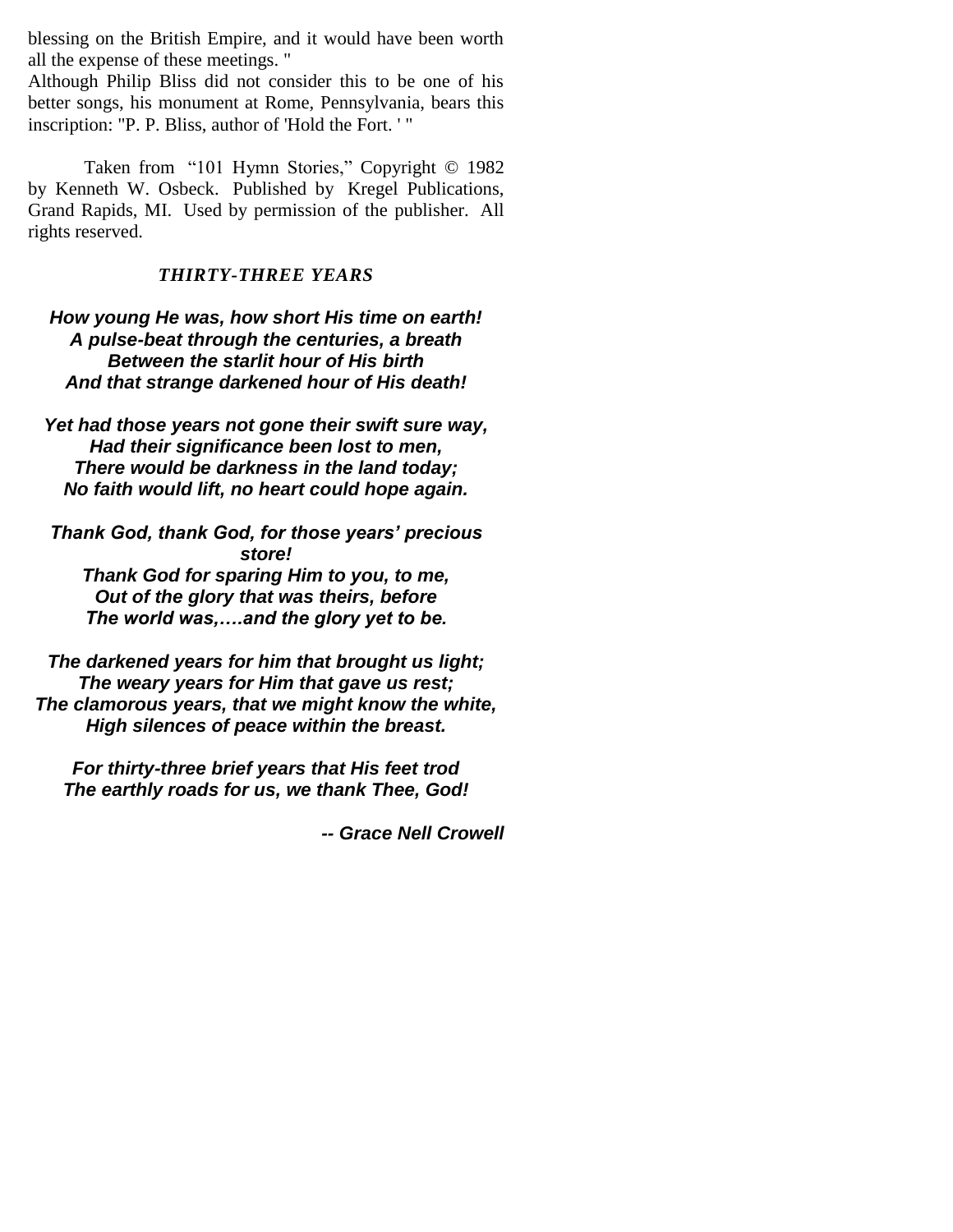blessing on the British Empire, and it would have been worth all the expense of these meetings. "

Although Philip Bliss did not consider this to be one of his better songs, his monument at Rome, Pennsylvania, bears this inscription: "P. P. Bliss, author of 'Hold the Fort. ' "

Taken from "101 Hymn Stories," Copyright © 1982 by Kenneth W. Osbeck. Published by Kregel Publications, Grand Rapids, MI. Used by permission of the publisher. All rights reserved.

# *THIRTY-THREE YEARS*

*How young He was, how short His time on earth! A pulse-beat through the centuries, a breath Between the starlit hour of His birth And that strange darkened hour of His death!*

*Yet had those years not gone their swift sure way, Had their significance been lost to men, There would be darkness in the land today; No faith would lift, no heart could hope again.*

*Thank God, thank God, for those years' precious store!*

*Thank God for sparing Him to you, to me, Out of the glory that was theirs, before The world was,….and the glory yet to be.*

*The darkened years for him that brought us light; The weary years for Him that gave us rest; The clamorous years, that we might know the white, High silences of peace within the breast.*

*For thirty-three brief years that His feet trod The earthly roads for us, we thank Thee, God!*

*-- Grace Nell Crowell*